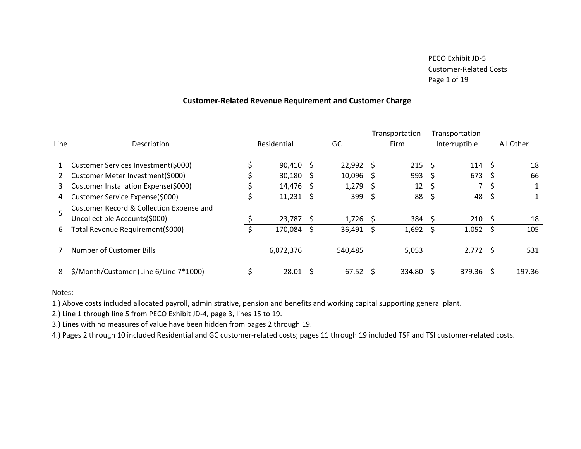#### Customer-Related Revenue Requirement and Customer Charge

| Line | Description                                                               |   | Residential |     | GC          |    | Transportation<br>Firm |     | Transportation<br>Interruptible |     | All Other |
|------|---------------------------------------------------------------------------|---|-------------|-----|-------------|----|------------------------|-----|---------------------------------|-----|-----------|
|      | Customer Services Investment(\$000)                                       |   | $90,410$ \$ |     | $22,992$ \$ |    | $215 \quad$            |     | 114 S                           |     | 18        |
| 2    | Customer Meter Investment(\$000)                                          |   | 30,180      | - S | $10,096$ \$ |    | $993 \quad $$          |     | 673                             | -S  | 66        |
| 3    | Customer Installation Expense(\$000)                                      |   | 14,476      | -S  | $1,279$ \$  |    | $12 \quad$ \$          |     | $\overline{7}$                  | S   |           |
| 4    | Customer Service Expense(\$000)                                           | C | 11,231      | S   | 399         | -S | 88                     | \$. | 48                              | \$. |           |
|      | Customer Record & Collection Expense and<br>Uncollectible Accounts(\$000) |   | 23,787      | -S  | $1,726$ \$  |    | 384                    | -S  | 210                             | S   | 18        |
| 6    | Total Revenue Requirement(\$000)                                          |   | 170,084     | -Ŝ  | $36,491$ \$ |    | 1,692                  | Ŝ   | 1,052                           | S   | 105       |
|      | <b>Number of Customer Bills</b>                                           |   | 6,072,376   |     | 540,485     |    | 5,053                  |     | $2,772$ \$                      |     | 531       |
| 8    | \$/Month/Customer (Line 6/Line 7*1000)                                    |   | 28.01       |     | 67.52       |    | 334.80                 | S   | 379.36                          | S   | 197.36    |

#### Notes:

1.) Above costs included allocated payroll, administrative, pension and benefits and working capital supporting general plant.

2.) Line 1 through line 5 from PECO Exhibit JD-4, page 3, lines 15 to 19.

3.) Lines with no measures of value have been hidden from pages 2 through 19.

4.) Pages 2 through 10 included Residential and GC customer-related costs; pages 11 through 19 included TSF and TSI customer-related costs.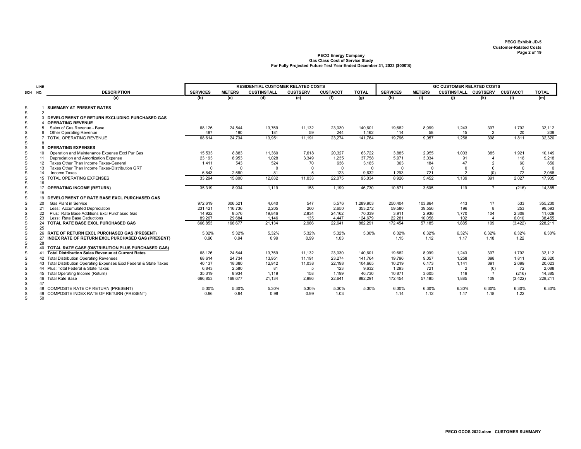PECO GCOS 2022.xlsm CUSTOMER SUMMARY

|             | <b>LINE</b>     |                                                                     |                 |               | <b>RESIDENTIAL CUSTOMER RELATED COSTS</b> |                 |                 |              |                 |               | <b>GC CUSTOMER RELATED COSTS</b> |                         |          |              |
|-------------|-----------------|---------------------------------------------------------------------|-----------------|---------------|-------------------------------------------|-----------------|-----------------|--------------|-----------------|---------------|----------------------------------|-------------------------|----------|--------------|
| SCH NO.     |                 | <b>DESCRIPTION</b>                                                  | <b>SERVICES</b> | <b>METERS</b> | <b>CUSTINSTALL</b>                        | <b>CUSTSERV</b> | <b>CUSTACCT</b> | <b>TOTAL</b> | <b>SERVICES</b> | <b>METERS</b> | CUSTINSTALL CUSTSERV CUSTACCT    |                         |          | <b>TOTAL</b> |
|             |                 | (a)                                                                 | (b)             | (c)           | (d)                                       | (e)             | (f)             | (g)          | (h)             | (i)           | (i)                              | (k)                     | (1)      | (m)          |
| S           |                 | <b>SUMMARY AT PRESENT RATES</b>                                     |                 |               |                                           |                 |                 |              |                 |               |                                  |                         |          |              |
| S           | $\overline{2}$  |                                                                     |                 |               |                                           |                 |                 |              |                 |               |                                  |                         |          |              |
| S           |                 | 3 DEVELOPMENT OF RETURN EXCLUDING PURCHASED GAS                     |                 |               |                                           |                 |                 |              |                 |               |                                  |                         |          |              |
| S           |                 | <b>OPERATING REVENUE</b>                                            |                 |               |                                           |                 |                 |              |                 |               |                                  |                         |          |              |
| S           |                 | Sales of Gas Revenue - Base                                         | 68,126          | 24,544        | 13,769                                    | 11,132          | 23,030          | 140,601      | 19,682          | 8,999         | 1,243                            | 397                     | 1,792    | 32,112       |
| S           | 6               | <b>Other Operating Revenue</b>                                      | 487             | 190           | 181                                       | 59              | 244             | 1.162        | 114             | 58            | 15                               | 2                       | 20       | 208          |
| S           |                 | TOTAL OPERATING REVENUE                                             | 68.614          | 24.734        | 13.951                                    | 11.191          | 23.274          | 141.764      | 19.796          | 9.057         | 1.258                            | 398                     | 1.811    | 32,320       |
| S           | 8               |                                                                     |                 |               |                                           |                 |                 |              |                 |               |                                  |                         |          |              |
| S           |                 | <b>OPERATING EXPENSES</b>                                           |                 |               |                                           |                 |                 |              |                 |               |                                  |                         |          |              |
| S           | 10 <sup>1</sup> | Operation and Maintenance Expense Excl Pur Gas                      | 15.533          | 8.883         | 11.360                                    | 7.618           | 20.327          | 63.722       | 3.885           | 2.955         | 1.003                            | 385                     | 1.921    | 10.149       |
| S           | 11              | Depreciation and Amortization Expense                               | 23.193          | 8.953         | 1.028                                     | 3.349           | 1.235           | 37.758       | 5.971           | 3.034         | 91                               |                         | 118      | 9,218        |
| S           | 12              | Taxes Other Than Income Taxes-General                               | 1.411           | 543           | 524                                       | 70              | 636             | 3,185        | 363             | 184           | 47                               | $\overline{2}$          | 60       | 656          |
| S           | 13              | Taxes Other Than Income Taxes-Distribution GRT                      | $\Omega$        | $\Omega$      | $\Omega$                                  | $\Omega$        | $\overline{0}$  | $\Omega$     | $\Omega$        | $\Omega$      | $\Omega$                         | $\Omega$                | $\Omega$ | $\Omega$     |
| S           | 14              | Income Taxes                                                        | 6,843           | 2,580         | 81                                        | 5               | 123             | 9,632        | 1,293           | 721           | $\overline{2}$                   | (0)                     | 72       | 2,088        |
| S<br>S      | 16              | 15 TOTAL OPERATING EXPENSES                                         | 33,294          | 15,800        | 12.832                                    | 11,033          | 22,075          | 95,034       | 8.926           | 5,452         | 1.139                            | 391                     | 2.027    | 17,935       |
| S           | 17              | <b>OPERATING INCOME (RETURN)</b>                                    | 35,319          | 8.934         | 1,119                                     | 158             | 1,199           | 46.730       | 10,871          | 3,605         | 119                              | $\overline{7}$          | (216)    | 14,385       |
| S           | 18              |                                                                     |                 |               |                                           |                 |                 |              |                 |               |                                  |                         |          |              |
| S           | 19              | DEVELOPMENT OF RATE BASE EXCL PURCHASED GAS                         |                 |               |                                           |                 |                 |              |                 |               |                                  |                         |          |              |
| S           | 20              | <b>Gas Plant in Service</b>                                         | 972,619         | 306.521       | 4.640                                     | 547             | 5,576           | 1,289,903    | 250,404         | 103,864       | 413                              | 17                      | 533      | 355,230      |
| S           | 21              | Less: Accumulated Depreciation                                      | 231,421         | 116,736       | 2.205                                     | 260             | 2,650           | 353,272      | 59,580          | 39,556        | 196                              | 8                       | 253      | 99,593       |
| S           | 22              | Plus: Rate Base Additions Excl Purchased Gas                        | 14,922          | 8,576         | 19,846                                    | 2,834           | 24,162          | 70,339       | 3,911           | 2,936         | 1,770                            | 104                     | 2,308    | 11,029       |
| S           | 23              | Less: Rate Base Deductions                                          | 89.267          | 29,684        | 1.146                                     | 135             | 4.447           | 124.679      | 22.281          | 10,058        | 102                              | $\overline{\mathbf{4}}$ | 6.010    | 38,455       |
| S           | 24              | TOTAL RATE BASE EXCL PURCHASED GAS                                  | 666,853         | 168,677       | 21,134                                    | 2,986           | 22,641          | 882,291      | 172,454         | 57,185        | 1.885                            | 109                     | (3, 422) | 228,211      |
| S           | 25              |                                                                     |                 |               |                                           |                 |                 |              |                 |               |                                  |                         |          |              |
| S           | 26              | RATE OF RETURN EXCL PURCHASED GAS (PRESENT)                         | 5.32%           | 5.32%         | 5.32%                                     | 5.32%           | 5.32%           | 5.30%        | 6.32%           | 6.32%         | 6.32%                            | 6.32%                   | 6.32%    | 6.30%        |
| S           | 27              | INDEX RATE OF RETURN EXCL PURCHASED GAS (PRESENT)                   | 0.96            | 0.94          | 0.99                                      | 0.99            | 1.03            |              | 1.15            | 1.12          | 1.17                             | 1.18                    | 1.22     |              |
| $\mathbb S$ | 28              |                                                                     |                 |               |                                           |                 |                 |              |                 |               |                                  |                         |          |              |
| S           | 40              | TOTAL RATE CASE (DISTRIBUTION PLUS PURCHASED GAS)                   |                 |               |                                           |                 |                 |              |                 |               |                                  |                         |          |              |
| S           | 41              | <b>Total Distribution Sales Revenue at Current Rates</b>            | 68,126          | 24,544        | 13,769                                    | 11,132          | 23,030          | 140.601      | 19,682          | 8,999         | 1.243                            | 397                     | 1,792    | 32,112       |
| S           | 42              | <b>Total Distribution Operating Revenues</b>                        | 68.614          | 24,734        | 13,951                                    | 11,191          | 23,274          | 141.764      | 19,796          | 9,057         | 1,258                            | 398                     | 1,811    | 32,320       |
| S           |                 | 43 Total Distribution Operating Expenses Excl Federal & State Taxes | 40.137          | 18,380        | 12.912                                    | 11.038          | 22.198          | 104.665      | 10,219          | 6.173         | 1.141                            | 391                     | 2.099    | 20,023       |
| S           |                 | 44 Plus: Total Federal & State Taxes                                | 6.843           | 2,580         | 81                                        | 5               | 123             | 9.632        | 1.293           | 721           | $\overline{2}$                   | (0)                     | 72       | 2,088        |
| S           | 45              | Total Operating Income (Return)                                     | 35,319          | 8.934         | 1.119                                     | 158             | 1.199           | 46.730       | 10,871          | 3.605         | 119                              | $\overline{7}$          | (216)    | 14,385       |
| S           | 46              | <b>Total Rate Base</b>                                              | 666.853         | 168,677       | 21.134                                    | 2,986           | 22,641          | 882,291      | 172,454         | 57.185        | 1.885                            | 109                     | (3, 422) | 228,211      |
| S           | 47              |                                                                     |                 |               |                                           |                 |                 |              |                 |               |                                  |                         |          |              |
| S           | 48              | COMPOSITE RATE OF RETURN (PRESENT)                                  | 5.30%           | 5.30%         | 5.30%                                     | 5.30%           | 5.30%           | 5.30%        | 6.30%           | 6.30%         | 6.30%                            | 6.30%                   | 6.30%    | 6.30%        |
| s           |                 | 49 COMPOSITE INDEX RATE OF RETURN (PRESENT)                         | 0.96            | 0.94          | 0.98                                      | 0.99            | 1.03            |              | 1.14            | 1.12          | 1.17                             | 1.18                    | 1.22     |              |
| S           | 50              |                                                                     |                 |               |                                           |                 |                 |              |                 |               |                                  |                         |          |              |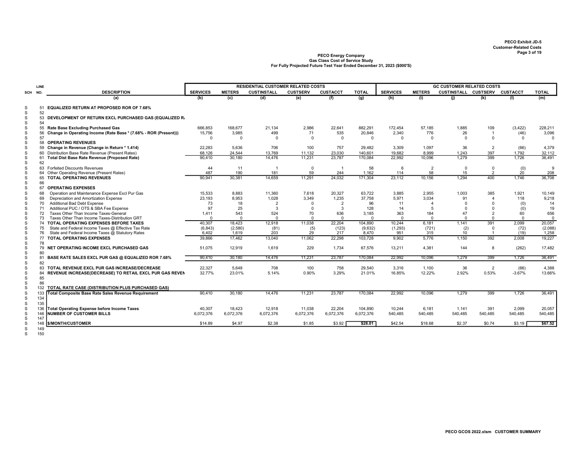|        | LINE     |                                                                  |                 |               | <b>RESIDENTIAL CUSTOMER RELATED COSTS</b> |                 |                 |              |                 |                | <b>GC CUSTOMER RELATED COSTS</b> |                |                |              |
|--------|----------|------------------------------------------------------------------|-----------------|---------------|-------------------------------------------|-----------------|-----------------|--------------|-----------------|----------------|----------------------------------|----------------|----------------|--------------|
| SCH    | NO.      | <b>DESCRIPTION</b>                                               | <b>SERVICES</b> | <b>METERS</b> | <b>CUSTINSTALL</b>                        | <b>CUSTSERV</b> | <b>CUSTACCT</b> | <b>TOTAL</b> | <b>SERVICES</b> | <b>METERS</b>  | CUSTINSTALL CUSTSERV CUSTACCT    |                |                | <b>TOTAL</b> |
|        |          | (a)                                                              | (b)             | (c)           | (d)                                       | (e)             | (f)             | (q)          | (h)             | (i)            | (i)                              | (k)            | (1)            | (m)          |
| S      | 52       | 51 EQUALIZED RETURN AT PROPOSED ROR OF 7.68%                     |                 |               |                                           |                 |                 |              |                 |                |                                  |                |                |              |
| S<br>S | 54       | 53 DEVELOPMENT OF RETURN EXCL PURCHASED GAS (EQUALIZED R.        |                 |               |                                           |                 |                 |              |                 |                |                                  |                |                |              |
| S      |          | 55 Rate Base Excluding Purchased Gas                             | 666,853         | 168,677       | 21,134                                    | 2,986           | 22,641          | 882.291      | 172,454         | 57,185         | 1,885                            | 109            | (3, 422)       | 228,211      |
| S      | 56       | Change in Operating Income (Rate Base * (7.68% - ROR (Present))) | 15,756          | 3.985         | 499                                       | 71              | 535             | 20,846       | 2,340           | 776            | 26                               | $\overline{1}$ | (46)           | 3,096        |
| S      | 57       |                                                                  | $\Omega$        | $\Omega$      | $\Omega$                                  | $\Omega$        | $\mathbf 0$     | $\Omega$     | $\Omega$        | $\Omega$       | $\Omega$                         | $\Omega$       | $\Omega$       | $\Omega$     |
|        | 58       | <b>OPERATING REVENUES</b>                                        |                 |               |                                           |                 |                 |              |                 |                |                                  |                |                |              |
|        | 59       | Change in Revenue (Change in Return * 1.414)                     | 22,283          | 5,636         | 706                                       | 100             | 757             | 29,482       | 3,309           | 1,097          | 36                               | $\overline{2}$ | (66)           | 4,379        |
|        |          | 60 Distribution Base Rate Revenue (Present Rates)                | 68,126          | 24,544        | 13,769                                    | 11,132          | 23,030          | 140,601      | 19,682          | 8,999          | 1,243                            | 397            | 1,792          | 32,112       |
|        | 61<br>62 | Total Dist Base Rate Revenue (Proposed Rate)                     | 90,410          | 30,180        | 14,476                                    | 11,231          | 23,787          | 170,084      | 22,992          | 10,096         | 1.279                            | 399            | 1.726          | 36,491       |
|        |          | 63 Forfeited Discounts Revenues                                  | 44              | 11            | $\overline{1}$                            | $\mathbf 0$     | $\overline{1}$  | 58           | 6               | $\overline{2}$ | $\mathbf 0$                      | $\mathbf 0$    | (0)            | -9           |
|        |          | 64 Other Operating Revenue (Present Rates)                       | 487             | 190           | 181                                       | 59              | 244             | 1,162        | 114             | 58             | 15                               | $\overline{2}$ | $20^{\degree}$ | 208          |
| S<br>S | 66<br>67 | 65 TOTAL OPERATING REVENUES<br><b>OPERATING EXPENSES</b>         | 90.941          | 30,381        | 14.659                                    | 11.291          | 24.032          | 171.304      | 23,112          | 10,156         | 1.294                            | 400            | 1.746          | 36,708       |
|        | 68       | Operation and Maintenance Expense Excl Pur Gas                   | 15,533          | 8.883         | 11,360                                    | 7.618           | 20,327          | 63,722       | 3.885           | 2,955          | 1.003                            | 385            | 1,921          | 10,149       |
|        | 69       | Depreciation and Amortization Expense                            | 23,193          | 8,953         | 1,028                                     | 3,349           | 1,235           | 37,758       | 5,971           | 3,034          | 91                               | $\overline{4}$ | 118            | 9,218        |
|        | 70       | Additional Bad Debt Expense                                      | 73              | 18            | $\overline{2}$                            | $\Omega$        | $\overline{2}$  | 96           | 11              | $\overline{4}$ | $\Omega$                         | $\Omega$       | (0)            | 14           |
|        | 71       | Additional PUC / OTS & SBA Fee Expense                           | 97              | 25            | 3                                         | $\Omega$        | 3               | 128          | 14              | 5              | $\Omega$                         | $\Omega$       | (0)            | 19           |
|        | 72       | Taxes Other Than Income Taxes-General                            | 1.411           | 543           | 524                                       | 70              | 636             | 3.185        | 363             | 184            | 47                               | $\overline{2}$ | 60             | 656          |
|        | 73       | Taxes Other Than Income Taxes-Distribution GRT                   | $\Omega$        | $\Omega$      | $\Omega$                                  | $\Omega$        | $\Omega$        | $\Omega$     | $\Omega$        | $\Omega$       | $\Omega$                         | $\Omega$       | $\Omega$       | $\mathbf{0}$ |
|        |          | 74 TOTAL OPERATING EXPENSES BEFORE TAXES                         | 40,307          | 18,423        | 12,918                                    | 11,038          | 22,204          | 104,890      | 10,244          | 6,181          | 1.141                            | 391            | 2,099          | 20,057       |
|        | 75       | State and Federal Income Taxes @ Effective Tax Rate              | (6, 843)        | (2,580)       | (81)                                      | (5)             | (123)           | (9,632)      | (1,293)         | (721)          | (2)                              | $\mathbf 0$    | (72)           | (2,088)      |
|        | 76       | State and Federal Income Taxes @ Statutory Rates                 | 6.402           | 1.619         | 203                                       | 29              | 217             | 8.470        | 951             | 315            | 10                               | $\overline{1}$ | (19)           | 1,258        |
|        |          | 77 TOTAL OPERATING EXPENSES                                      | 39,866          | 17,462        | 13,040                                    | 11,062          | 22,298          | 103,728      | 9,902           | 5,776          | 1,150                            | 392            | 2,008          | 19,227       |
|        | 78       |                                                                  |                 |               |                                           |                 |                 |              |                 |                |                                  |                |                |              |
| S      | 80       | 79 NET OPERATING INCOME EXCL PURCHASED GAS                       | 51.075          | 12.919        | 1,619                                     | 229             | 1.734           | 67.576       | 13,211          | 4,381          | 144                              | 8              | (262)          | 17,482       |
|        | 81       | BASE RATE SALES EXCL PUR GAS @ EQUALIZED ROR 7.68%               | 90,410          | 30,180        | 14,476                                    | 11,231          | 23,787          | 170,084      | 22,992          | 10,096         | 1,279                            | 399            | 1,726          | 36,491       |
|        | 82       |                                                                  |                 |               |                                           |                 |                 |              |                 |                |                                  |                |                |              |
| S      |          | 83 TOTAL REVENUE EXCL PUR GAS INCREASE/DECREASE                  | 22,327          | 5.648         | 708                                       | 100             | 758             | 29,540       | 3,316           | 1,100          | 36                               | $\overline{2}$ | (66)           | 4,388        |
|        |          | 84 REVENUE INCREASE(DECREASE) TO RETAIL EXCL PUR GAS REVEN       | 32.77%          | 23.01%        | 5.14%                                     | 0.90%           | 3.29%           | 21.01%       | 16.85%          | 12.22%         | 2.92%                            | 0.53%          | $-3.67%$       | 13.66%       |
| S      | 85<br>86 |                                                                  |                 |               |                                           |                 |                 |              |                 |                |                                  |                |                |              |
|        | 132      | TOTAL RATE CASE (DISTRIBUTION PLUS PURCHASED GAS)                |                 |               |                                           |                 |                 |              |                 |                |                                  |                |                |              |
|        | 133      | Total Composite Base Rate Sales Revenue Requirement              | 90.410          | 30.180        | 14,476                                    | 11.231          | 23.787          | 170,084      | 22,992          | 10,096         | 1.279                            | 399            | 1.726          | 36,491       |
| S      | 134      |                                                                  |                 |               |                                           |                 |                 |              |                 |                |                                  |                |                |              |
|        | 135      |                                                                  |                 |               |                                           |                 |                 |              |                 |                |                                  |                |                |              |
|        |          | 136 Total Operating Expense before Income Taxes                  | 40,307          | 18,423        | 12,918                                    | 11,038          | 22,204          | 104,890      | 10,244          | 6,181          | 1,141                            | 391            | 2,099          | 20,057       |
|        | 146      | <b>INUMBER OF CUSTOMER BILLS</b>                                 | 6,072,376       | 6,072,376     | 6,072,376                                 | 6,072,376       | 6,072,376       | 6,072,376    | 540,485         | 540,485        | 540.485                          | 540.485        | 540,485        | 540,485      |
|        | 147      |                                                                  |                 |               |                                           |                 |                 |              |                 |                |                                  |                |                |              |
|        |          | 148 S/MONTH/CUSTOMER                                             | \$14.89         | \$4.97        | \$2.38                                    | \$1.85          | \$3.92          | \$28.01      | \$42.54         | \$18.68        | \$2.37                           | \$0.74         | \$3.19         | \$67.52      |
|        | 149      |                                                                  |                 |               |                                           |                 |                 |              |                 |                |                                  |                |                |              |
|        | 150      |                                                                  |                 |               |                                           |                 |                 |              |                 |                |                                  |                |                |              |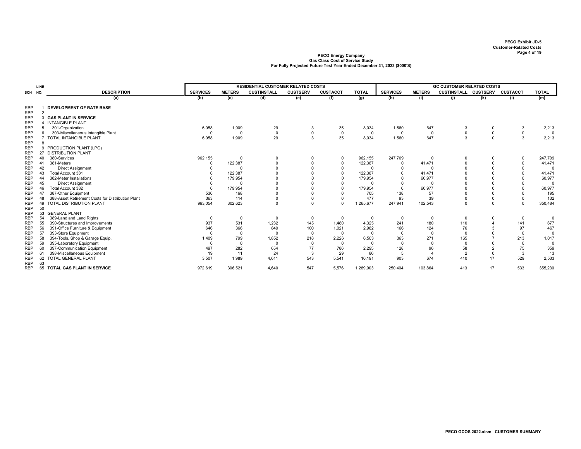|                          | LINE           |                                                   |                 |               | <b>RESIDENTIAL CUSTOMER RELATED COSTS</b> |                 |                 |              |                 |                              | <b>GC CUSTOMER RELATED COSTS</b> |             |                 |              |
|--------------------------|----------------|---------------------------------------------------|-----------------|---------------|-------------------------------------------|-----------------|-----------------|--------------|-----------------|------------------------------|----------------------------------|-------------|-----------------|--------------|
|                          |                | <b>DESCRIPTION</b>                                | <b>SERVICES</b> | <b>METERS</b> | <b>CUSTINSTALL</b>                        | <b>CUSTSERV</b> | <b>CUSTACCT</b> | <b>TOTAL</b> | <b>SERVICES</b> | <b>METERS</b>                | <b>CUSTINSTALL CUSTSERV</b>      |             | <b>CUSTACCT</b> | <b>TOTAL</b> |
| SCH NO.                  |                |                                                   |                 |               |                                           |                 |                 |              |                 |                              |                                  |             |                 |              |
|                          |                | (a)                                               | (b)             | (c)           | (d)                                       | (e)             | (f)             | (g)          | (h)             | (i)                          | (j)                              | (k)         | (1)             | (m)          |
| <b>RBP</b>               |                | <b>DEVELOPMENT OF RATE BASE</b>                   |                 |               |                                           |                 |                 |              |                 |                              |                                  |             |                 |              |
| <b>RBP</b>               | $\overline{2}$ |                                                   |                 |               |                                           |                 |                 |              |                 |                              |                                  |             |                 |              |
| <b>RBP</b>               |                | 3 GAS PLANT IN SERVICE                            |                 |               |                                           |                 |                 |              |                 |                              |                                  |             |                 |              |
| <b>RBP</b>               |                | <b>INTANGIBLE PLANT</b>                           |                 |               |                                           |                 |                 |              |                 |                              |                                  |             |                 |              |
| <b>RBP</b>               | 5              | 301-Organization                                  | 6,058           | 1,909         | 29                                        | 3               | 35              | 8,034        | 1,560           | 647                          | 3                                | 0           | 3               | 2,213        |
| <b>RBP</b>               | 6              | 303-Miscellaneous Intangible Plant                | $\mathbf{0}$    | $\Omega$      | $\mathsf 0$                               | $\pmb{0}$       | $\mathbf 0$     | $^{\circ}$   | $\Omega$        | $\mathbf 0$                  |                                  | $\mathbf 0$ | $\mathbf 0$     | $\mathbf{0}$ |
| <b>RBP</b>               |                | TOTAL INTANGIBLE PLANT                            | 6,058           | 1,909         | 29                                        | 3               | 35              | 8,034        | 1,560           | 647                          | 3                                | $\mathbf 0$ | 3               | 2,213        |
| <b>RBP</b>               | 8              |                                                   |                 |               |                                           |                 |                 |              |                 |                              |                                  |             |                 |              |
| <b>RBP</b>               |                | 9 PRODUCTION PLANT (LPG)                          |                 |               |                                           |                 |                 |              |                 |                              |                                  |             |                 |              |
| <b>RBP</b>               | 27             | <b>DISTRIBUTION PLANT</b>                         |                 |               |                                           |                 |                 |              |                 |                              |                                  |             |                 |              |
| <b>RBP</b>               | 40             | 380-Services                                      | 962,155         | $\Omega$      | 0                                         | 0               | $\mathbf 0$     | 962.155      | 247,709         | $\Omega$                     |                                  | 0           | 0               | 247,709      |
| <b>RBP</b>               | 41             | 381-Meters                                        | $\Omega$        | 122,387       |                                           |                 | $\mathbf 0$     | 122,387      | 0               | 41,471                       |                                  | $\Omega$    | 0               | 41,471       |
| <b>RBP</b>               | 42             | <b>Direct Assignment</b>                          |                 | $\Omega$      |                                           |                 | $\Omega$        | $\Omega$     | $\Omega$        | $\Omega$                     |                                  | $\Omega$    | 0               | $\Omega$     |
| <b>RBP</b>               | 43             | Total Account 381                                 |                 | 122.387       |                                           |                 | $\Omega$        | 122.387      | $\Omega$        | 41.471                       |                                  | $\Omega$    | $\Omega$        | 41.471       |
| <b>RBP</b>               | 44             | 382-Meter Installations                           |                 | 179,954       |                                           |                 | $\Omega$        | 179,954      |                 | 60,977                       |                                  | $\Omega$    |                 | 60,977       |
| <b>RBP</b>               | 45             | <b>Direct Assignment</b>                          |                 | $\Omega$      |                                           |                 |                 | $\Omega$     |                 |                              |                                  | $\Omega$    |                 | $\Omega$     |
| <b>RBP</b>               | 46             | Total Account 382                                 | $\Omega$        | 179,954       |                                           |                 | $\Omega$        | 179,954      | $\Omega$        | 60,977                       |                                  | $\Omega$    |                 | 60,977       |
| <b>RBP</b>               | 47             | 387-Other Equipment                               | 536             | 168           |                                           |                 |                 | 705          | 138             | 57                           |                                  |             |                 | 195          |
| <b>RBP</b>               | 48             | 388-Asset Retirement Costs for Distribution Plant | 363             | 114           |                                           |                 | $\mathbf 0$     | 477          | 93              | 39                           |                                  | $\Omega$    |                 | 132          |
| <b>RBP</b>               | 49             | TOTAL DISTRIBUTION PLANT                          | 963,054         | 302,623       |                                           | $\Omega$        | $\Omega$        | 1,265,677    | 247,941         | 102,543                      |                                  | $\Omega$    | $\Omega$        | 350,484      |
| <b>RBP</b>               | 50             |                                                   |                 |               |                                           |                 |                 |              |                 |                              |                                  |             |                 |              |
| <b>RBP</b>               | 53             | <b>GENERAL PLANT</b>                              |                 |               |                                           |                 |                 |              |                 |                              |                                  |             |                 |              |
| <b>RBP</b>               | 54             | 389-Land and Land Rights                          | $\overline{0}$  | $\Omega$      | $\mathbf 0$                               | 0               | $\mathbf 0$     | 0            | $\Omega$        | 0                            | $\Omega$                         | 0           | 0               | $\mathbf 0$  |
| <b>RBP</b>               | 55             | 390-Structures and Improvements                   | 937             | 531           | 1,232                                     | 145             | 1,480           | 4,325        | 241             | 180                          | 110                              | 4           | 141             | 677          |
| <b>RBP</b>               | 56             | 391-Office Furniture & Equipment                  | 646             | 366           | 849                                       | 100             | 1,021           | 2,982        | 166             | 124                          | 76                               |             | 97              | 467          |
| <b>RBP</b>               | 57             | 393-Store Equipment                               | $\Omega$        | $\Omega$      | $\Omega$                                  | $\mathbf 0$     | $\Omega$        | $\Omega$     | $\Omega$        | $\Omega$                     | $\Omega$                         | $\Omega$    | $\Omega$        | $\mathbf{0}$ |
| <b>RBP</b>               | 58             | 394-Tools, Shop & Garage Equip.                   | 1,409           | 799           | 1,852                                     | 218             | 2,226           | 6,503        | 363             | 271                          | 165                              |             | 213             | 1,017        |
| <b>RBP</b>               | 59             | 395-Laboratory Equipment                          | $\Omega$        | $\Omega$      | $\Omega$                                  | $^{\circ}$      | $\Omega$        | $\Omega$     | $\Omega$        | $\Omega$                     | $\Omega$                         | $\Omega$    | $\Omega$        | $\mathbf 0$  |
| <b>RBP</b>               | 60             | 397-Communication Equipment                       | 497             | 282           | 654                                       | 77              | 786             | 2,295        | 128             | 96<br>$\boldsymbol{\Lambda}$ | 58                               | 2           | 75              | 359          |
| <b>RBP</b>               | 61             | 398-Miscellaneous Equipment                       | 19              | 11            | 24                                        | 3               | 29              | 86           | 5               |                              | $\overline{2}$                   | $\Omega$    | 3               | 13           |
| <b>RBP</b>               | 62             | <b>TOTAL GENERAL PLANT</b>                        | 3,507           | 1,989         | 4.611                                     | 543             | 5,541           | 16,191       | 903             | 674                          | 410                              | 17          | 529             | 2,533        |
| <b>RBP</b><br><b>RBP</b> | 63<br>65       | TOTAL GAS PLANT IN SERVICE                        | 972,619         | 306,521       | 4,640                                     | 547             | 5,576           | 1,289,903    | 250,404         | 103,864                      | 413                              | 17          | 533             | 355,230      |
|                          |                |                                                   |                 |               |                                           |                 |                 |              |                 |                              |                                  |             |                 |              |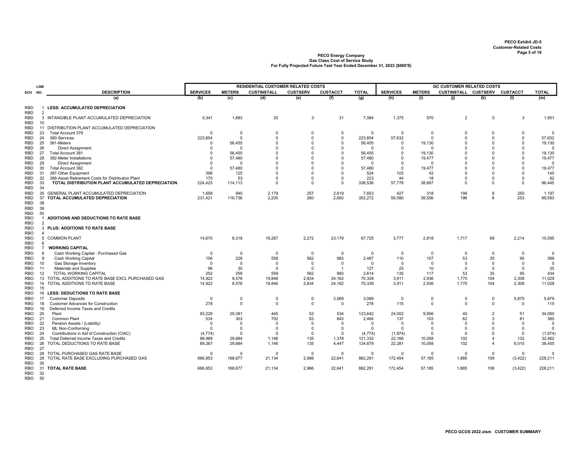|                          | LINE           |                                                                         |                              |                         | <b>RESIDENTIAL CUSTOMER RELATED COSTS</b> |                         |                            |                        |                            |                         | <b>GC CUSTOMER RELATED COSTS</b> |                         |                        |                      |
|--------------------------|----------------|-------------------------------------------------------------------------|------------------------------|-------------------------|-------------------------------------------|-------------------------|----------------------------|------------------------|----------------------------|-------------------------|----------------------------------|-------------------------|------------------------|----------------------|
| SCH                      | NO.            | <b>DESCRIPTION</b>                                                      | <b>SERVICES</b>              | <b>METERS</b>           | <b>CUSTINSTALL</b>                        | <b>CUSTSERV</b>         | <b>CUSTACCT</b>            | <b>TOTAL</b>           | <b>SERVICES</b>            | <b>METERS</b>           | CUSTINSTALL CUSTSERV CUSTACCT    |                         |                        | <b>TOTAL</b>         |
|                          |                | (a)                                                                     | (b)                          | (c)                     | (d)                                       | (e)                     | (f)                        | (g)                    | (h)                        | (i)                     | (j)                              | (k)                     | (1)                    | (m)                  |
| <b>RBD</b><br>RBD        | $\overline{2}$ | <b>LESS: ACCUMULATED DEPRECIATION</b>                                   |                              |                         |                                           |                         |                            |                        |                            |                         |                                  |                         |                        |                      |
| RBD<br>RBD               | 10             | 3 INTANGIBLE PLANT ACCUMULATED DEPRECIATION                             | 5,341                        | 1,683                   | 25                                        | 3                       | 31                         | 7,084                  | 1,375                      | 570                     | 2                                | $^{\circ}$              | 3                      | 1,951                |
| RBD                      | 11             | DISTRIBUTION PLANT ACCUMULATED DEPRECIATION                             |                              |                         |                                           |                         |                            |                        |                            |                         |                                  |                         |                        |                      |
| RBD                      | 23             | Total Account 379                                                       | $\overline{0}$               | $\mathbf 0$             | $\mathbf 0$                               | $\mathbf 0$             | $\mathbf 0$                | $\mathbf 0$            | 0                          | $\mathbf 0$             | 0                                | $\mathbf 0$             | 0                      | $\Omega$             |
| RBD                      | 24             | 380-Services                                                            | 223,854                      | $\mathbf{0}$            | $\Omega$                                  | $\Omega$                | $\mathbf 0$                | 223,854                | 57,632                     | $\Omega$                | $\Omega$                         | $\Omega$                | $\mathbf 0$            | 57,632               |
| RBD<br>RBD               | 25<br>26       | 381-Meters<br><b>Direct Assignment</b>                                  | $\Omega$<br>$\Omega$         | 56,455<br>$\Omega$      | $\Omega$<br>$\Omega$                      | $\mathbf 0$<br>$\Omega$ | $\mathbf 0$<br>$\mathbf 0$ | 56,455<br>$\Omega$     | 0<br>$\Omega$              | 19,130<br>$\Omega$      | $\Omega$<br>$\Omega$             | $\Omega$<br>$\Omega$    | $\Omega$<br>$\Omega$   | 19,130<br>$\Omega$   |
| RBD                      | 27             | Total Account 381                                                       | $\Omega$                     | 56,455                  | $\Omega$                                  | $\Omega$                | $\mathbf 0$                | 56,455                 | $\mathbf 0$                | 19,130                  | $\Omega$                         | $\Omega$                | $\Omega$               | 19,130               |
| RBD                      | 28             | 382-Meter Installations                                                 | $\Omega$                     | 57.480                  | $\Omega$                                  | $\Omega$                | $^{\circ}$                 | 57,480                 | $\Omega$                   | 19,477                  | $\Omega$                         | $\Omega$                | $\Omega$               | 19,477               |
| RBD                      | 29             | <b>Direct Assignment</b>                                                | $\Omega$                     | $\overline{0}$          | 0                                         | $\mathbf 0$             | $^{\circ}$                 | $\Omega$               | $\mathbf 0$                | $\Omega$                | $\Omega$                         | $\Omega$                | 0                      | $\overline{0}$       |
| RBD                      | 30             | Total Account 382                                                       | $^{\circ}$                   | 57,480                  | $\Omega$                                  | $\Omega$                | $\mathbf 0$                | 57,480                 | $\mathbf 0$                | 19,477                  | $\Omega$                         | $\Omega$                | $\Omega$               | 19,477               |
| RBD                      | 31             | 387-Other Equipment                                                     | 398                          | 125                     | $\Omega$                                  | $\Omega$                | $\mathbf 0$                | 524                    | 103                        | 42                      | $\Omega$                         | $\Omega$                | $\Omega$               | 145                  |
| RBD                      | 32             | 388-Asset Retirement Costs for Distribution Plant                       | 170                          | 53                      | $\Omega$                                  | $\Omega$                | $\mathsf 0$                | 223                    | 44                         | 18                      | $\Omega$                         | $\Omega$                | $\Omega$               | 62                   |
| RBD<br>RBD               | 33<br>34       | TOTAL DISTRIBUTION PLANT ACCUMULATED DEPRECIATION                       | 224,423                      | 114,113                 | $\Omega$                                  | $\mathbf 0$             | $\Omega$                   | 338,536                | 57,778                     | 38,667                  | $\Omega$                         | $\Omega$                | 0                      | 96,445               |
| RBD                      | 35             | GENERAL PLANT ACCUMULATED DEPRECIATION                                  | 1,658                        | 940                     | 2,179                                     | 257                     | 2,619                      | 7,653                  | 427                        | 318                     | 194                              | 8                       | 250                    | 1,197                |
| <b>RBD</b>               | 37             | TOTAL ACCUMULATED DEPRECIATION                                          | 231,421                      | 116,736                 | 2,205                                     | 260                     | 2,650                      | 353,272                | 59,580                     | 39,556                  | 196                              | 8                       | 253                    | 99,593               |
| RBD                      | 38             |                                                                         |                              |                         |                                           |                         |                            |                        |                            |                         |                                  |                         |                        |                      |
| RBD<br>RBD               | 39<br>50       |                                                                         |                              |                         |                                           |                         |                            |                        |                            |                         |                                  |                         |                        |                      |
| <b>RBO</b><br><b>RBO</b> | $\overline{2}$ | ADDITIONS AND DEDUCTIONS TO RATE BASE                                   |                              |                         |                                           |                         |                            |                        |                            |                         |                                  |                         |                        |                      |
| <b>RBO</b>               | 3              | PLUS: ADDITIONS TO RATE BASE                                            |                              |                         |                                           |                         |                            |                        |                            |                         |                                  |                         |                        |                      |
| RBO                      | $\overline{4}$ |                                                                         |                              |                         |                                           |                         |                            |                        |                            |                         |                                  |                         |                        |                      |
| <b>RBO</b><br><b>RBO</b> | 5<br>6         | <b>COMMON PLANT</b>                                                     | 14,670                       | 8,318                   | 19,287                                    | 2,272                   | 23,179                     | 67,725                 | 3,777                      | 2,818                   | 1,717                            | 69                      | 2,214                  | 10,595               |
| <b>RBO</b>               | 7              | <b>WORKING CAPITAL</b>                                                  |                              |                         |                                           |                         |                            |                        |                            |                         |                                  |                         |                        |                      |
| RBO                      | 8              | Cash Working Capital - Purchased Gas                                    | $\Omega$                     | $\mathbf 0$             | $\mathbf 0$                               | $\overline{0}$          | $\overline{0}$             | $\mathbf 0$            | $\Omega$                   | 0                       | $\Omega$                         | $\Omega$                | $\Omega$               | $\mathbf 0$          |
| RBO                      | 9              | Cash Working Capital                                                    | 156                          | 228                     | 558                                       | 562                     | 983                        | 2,487                  | 110                        | 107                     | 53                               | 35                      | 95                     | 399                  |
| RBO                      | 10             | Gas Storage Inventory                                                   | $\Omega$                     | $\Omega$                | $\mathbf 0$                               | $\overline{0}$          | $^{\circ}$                 | $\Omega$               | $\Omega$                   | $\Omega$                | $\Omega$                         | $\Omega$                | $\Omega$               | $\overline{0}$       |
| RBO                      | 11             | Materials and Supplies                                                  | 96                           | 30                      | $\mathbf 0$                               | $\overline{0}$          | $\overline{1}$             | 127                    | 25                         | 10                      | $\Omega$                         | $\Omega$                | $\mathbf 0$            | 35                   |
| RBO                      | 12             | <b>TOTAL WORKING CAPITAL</b>                                            | 252                          | 258                     | 559                                       | 562                     | 983                        | 2,614                  | 135                        | 117                     | 53                               | 35                      | 95                     | 434                  |
| RBO                      | 13             | TOTAL ADDITIONS TO RATE BASE EXCL PURCHASED GAS                         | 14,922                       | 8,576                   | 19,846                                    | 2,834                   | 24,162                     | 70,339                 | 3,911                      | 2,936                   | 1,770                            | 104                     | 2,308                  | 11,029               |
| RBO<br>RBO               | 14<br>15       | TOTAL ADDITIONS TO RATE BASE                                            | 14,922                       | 8,576                   | 19,846                                    | 2,834                   | 24,162                     | 70,339                 | 3,911                      | 2,936                   | 1,770                            | 104                     | 2,308                  | 11,029               |
| RBO                      | 16             | <b>LESS: DEDUCTIONS TO RATE BASE</b>                                    |                              |                         |                                           |                         |                            |                        |                            |                         |                                  |                         |                        |                      |
| RBO                      | 17             | <b>Customer Deposits</b>                                                | $\overline{\mathbf{0}}$      | $\mathbf 0$             | $\mathbf 0$                               | $\mathbf 0$             | 3,069                      | 3,069                  | 0                          | $\mathbf 0$             | 0                                | 0                       | 5,879                  | 5,879                |
| RBO                      | 18             | <b>Customer Advances for Construction</b>                               | 278                          | $\mathbf 0$             | $\overline{0}$                            | $\mathbf 0$             | $\mathbf{0}$               | 278                    | 115                        | $\Omega$                | $\Omega$                         | $\mathbf 0$             | 0                      | 115                  |
| RBO                      | 19             | Deferred Income Taxes and Credits                                       |                              |                         |                                           |                         |                            |                        |                            |                         |                                  |                         |                        |                      |
| RBO                      | 20             | Plant                                                                   | 93,229                       | 29,381                  | 445                                       | 52                      | 534                        | 123,642                | 24,002                     | 9,956                   | 40                               | $\overline{2}$          | 51                     | 34,050               |
| RBO                      | 21             | Common Plant                                                            | 534                          | 303                     | 702                                       | 83                      | 843                        | 2,464                  | 137                        | 103                     | 62                               | 3                       | 81                     | 385                  |
| RBO                      | 22<br>23       | Pension Assets / (Liability)                                            | $\overline{0}$<br>$^{\circ}$ | $\Omega$<br>$\mathbf 0$ | $\mathbf 0$<br>$\mathbf 0$                | $\Omega$<br>$\mathbf 0$ | $^{\circ}$<br>$^{\circ}$   | $\Omega$               | $\mathbf 0$<br>$\mathbf 0$ | $\Omega$<br>$\mathbf 0$ | $\Omega$<br>$\Omega$             | $\Omega$<br>$\mathbf 0$ | $\Omega$<br>$^{\circ}$ | $\Omega$<br>$\Omega$ |
| RBO<br>RBO               | 24             | <b>ML Non-Conforming</b><br>Contributions in Aid of Construction (CIAC) | (4, 774)                     | $\Omega$                | $\Omega$                                  | $\Omega$                | $\Omega$                   | $^{\circ}$<br>(4, 774) | (1, 974)                   | $\Omega$                | $\Omega$                         | $\Omega$                | $\Omega$               | (1,974)              |
| RBO                      | 25             | Total Deferred Income Taxes and Credits                                 | 88,989                       | 29,684                  | 1,146                                     | 135                     | 1,378                      | 121,332                | 22,166                     | 10,058                  | 102                              | $\overline{4}$          | 132                    | 32,462               |
| RBO                      | 26             | TOTAL DEDUCTIONS TO RATE BASE                                           | 89,267                       | 29,684                  | 1,146                                     | 135                     | 4,447                      | 124,679                | 22,281                     | 10,058                  | 102                              | $\overline{4}$          | 6,010                  | 38,455               |
| RBO                      | 27             |                                                                         |                              |                         |                                           |                         |                            |                        |                            |                         |                                  |                         |                        |                      |
| RBO                      | 28             | TOTAL PURCHASED GAS RATE BASE                                           | $\Omega$                     | $\Omega$                | $\Omega$                                  | $\overline{0}$          | $^{\circ}$                 | $\mathbf 0$            | $\mathbf 0$                | $\Omega$                | $\Omega$                         | $\mathbf 0$             | $\mathbf 0$            | $\Omega$             |
| RBO                      | 29             | TOTAL RATE BASE EXCLUDING PURCHASED GAS                                 | 666,853                      | 168,677                 | 21,134                                    | 2,986                   | 22,641                     | 882,291                | 172,454                    | 57,185                  | 1,885                            | 109                     | (3, 422)               | 228,211              |
| <b>RBO</b><br>RBO        | 30<br>31       | <b>TOTAL RATE BASE</b>                                                  | 666,853                      | 168,677                 | 21,134                                    | 2,986                   | 22,641                     | 882,291                | 172,454                    | 57,185                  | 1,885                            | 109                     | (3, 422)               | 228,211              |
| <b>RBO</b><br>RBO        | 32<br>50       |                                                                         |                              |                         |                                           |                         |                            |                        |                            |                         |                                  |                         |                        |                      |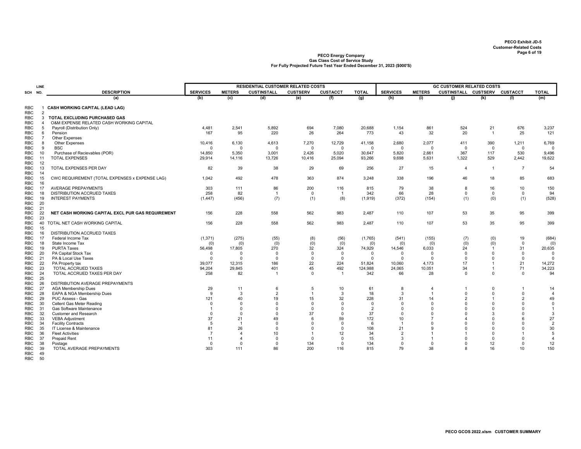|            | LINE           |                                                   |                 |                | <b>RESIDENTIAL CUSTOMER RELATED COSTS</b> |                 |                 |                |                 |                | <b>GC CUSTOMER RELATED COSTS</b> |                |                |                |
|------------|----------------|---------------------------------------------------|-----------------|----------------|-------------------------------------------|-----------------|-----------------|----------------|-----------------|----------------|----------------------------------|----------------|----------------|----------------|
| SCH        | NO.            | <b>DESCRIPTION</b>                                | <b>SERVICES</b> | <b>METERS</b>  | <b>CUSTINSTALL</b>                        | <b>CUSTSERV</b> | <b>CUSTACCT</b> | <b>TOTAL</b>   | <b>SERVICES</b> | <b>METERS</b>  | CUSTINSTALL CUSTSERV CUSTACCT    |                |                | <b>TOTAL</b>   |
|            |                | (a)                                               | (b)             | (c)            | (d)                                       | (e)             | (f)             | (g)            | (h)             | (i)            | (i)                              | (k)            | (1)            | (m)            |
|            |                |                                                   |                 |                |                                           |                 |                 |                |                 |                |                                  |                |                |                |
| RBC        |                | 1 CASH WORKING CAPITAL (LEAD LAG)                 |                 |                |                                           |                 |                 |                |                 |                |                                  |                |                |                |
| RBC        | $\overline{2}$ |                                                   |                 |                |                                           |                 |                 |                |                 |                |                                  |                |                |                |
| RBC        | 3              | TOTAL EXCLUDING PURCHASED GAS                     |                 |                |                                           |                 |                 |                |                 |                |                                  |                |                |                |
| RBC        | $\overline{4}$ | O&M EXPENSE RELATED CASH WORKING CAPITAL          |                 |                |                                           |                 |                 |                |                 |                |                                  |                |                |                |
| <b>RBC</b> | 5              | Payroll (Distribution Only)                       | 4,481           | 2,541          | 5,892                                     | 694             | 7,080           | 20,688         | 1,154           | 861            | 524                              | 21             | 676            | 3,237          |
| RBC        | 6              | Pension                                           | 167             | 95             | 220                                       | 26              | 264             | 773            | 43              | 32             | 20                               | $\overline{1}$ | 25             | 121            |
| RBC        | $\overline{7}$ | Other Expenses                                    |                 |                |                                           |                 |                 |                |                 |                |                                  |                |                |                |
| RBC        | 8              | <b>Other Expenses</b>                             | 10,416          | 6,130          | 4,613                                     | 7,270           | 12,729          | 41,158         | 2,680           | 2,077          | 411                              | 390            | 1,211          | 6,769          |
| RBC        | 9              | <b>BSC</b>                                        | $\Omega$        | $\Omega$       | $\Omega$                                  | $\Omega$        | $^{\circ}$      | $\Omega$       | $\Omega$        | $\mathbf 0$    | $\Omega$                         | $\overline{0}$ | $\mathbf 0$    | $\Omega$       |
| RBC        | 10             | Purchase of Recievables (POR)                     | 14,850          | 5,350          | 3,001                                     | 2,426           | 5,020           | 30,647         | 5,820           | 2,661          | 367                              | 117            | 530            | 9,496          |
| RBC        | 11             | <b>TOTAL EXPENSES</b>                             | 29,914          | 14,116         | 13,726                                    | 10,416          | 25,094          | 93,266         | 9,698           | 5,631          | 1,322                            | 529            | 2,442          | 19,622         |
| RBC        | 12             |                                                   |                 |                |                                           |                 |                 |                |                 |                |                                  |                |                |                |
| RBC        | 13             | TOTAL EXPENSES PER DAY                            | 82              | 39             | 38                                        | 29              | 69              | 256            | 27              | 15             | $\overline{4}$                   | $\overline{1}$ | $\overline{7}$ | 54             |
| RBC        | 14             |                                                   |                 |                |                                           |                 |                 |                |                 |                |                                  |                |                |                |
| RBC        | 15             | CWC REQUIREMENT (TOTAL EXPENSES x EXPENSE LAG)    | 1,042           | 492            | 478                                       | 363             | 874             | 3,248          | 338             | 196            | 46                               | 18             | 85             | 683            |
| RBC        | 16             |                                                   |                 |                |                                           |                 |                 |                |                 |                |                                  |                |                |                |
| RBC        | 17             | <b>AVERAGE PREPAYMENTS</b>                        | 303             | 111            | 86                                        | 200             | 116             | 815            | 79              | 38             | 8                                | 16             | 10             | 150            |
| RBC        | 18             | DISTRIBUTION ACCRUED TAXES                        | 258             | 82             | $\overline{1}$                            | $^{\circ}$      | $\overline{1}$  | 342            | 66              | 28             | $\mathbf 0$                      | 0              | 0              | 94             |
| RBC        | 19             | <b>INTEREST PAYMENTS</b>                          | (1, 447)        | (456)          | (7)                                       |                 | (8)             | (1, 919)       | (372)           | (154)          |                                  | (0)            |                | (528)          |
| RBC        | 20             |                                                   |                 |                |                                           | (1)             |                 |                |                 |                | (1)                              |                | (1)            |                |
| RBC        | 21             |                                                   |                 |                |                                           |                 |                 |                |                 |                |                                  |                |                |                |
|            | 22             | NET CASH WORKING CAPITAL EXCL PUR GAS REQUIREMENT | 156             | 228            | 558                                       | 562             | 983             | 2,487          | 110             | 107            | 53                               | 35             | 95             | 399            |
| RBC        |                |                                                   |                 |                |                                           |                 |                 |                |                 |                |                                  |                |                |                |
| RBC        | 23             |                                                   |                 |                |                                           |                 |                 |                |                 |                |                                  |                |                |                |
| RBC        | 40             | TOTAL NET CASH WORKING CAPITAL                    | 156             | 228            | 558                                       | 562             | 983             | 2,487          | 110             | 107            | 53                               | 35             | 95             | 399            |
| RBC        | 15             |                                                   |                 |                |                                           |                 |                 |                |                 |                |                                  |                |                |                |
| RBC        | 16             | DISTRIBUTION ACCRUED TAXES                        |                 |                |                                           |                 |                 |                |                 |                |                                  |                |                |                |
| RBC        | 17             | Federal Income Tax                                | (1, 371)        | (275)          | (55)                                      | (8)             | (56)            | (1,765)        | (541)           | (155)          | (7)                              | (0)            | 19             | (684)          |
| RBC        | 18             | State Income Tax                                  | (0)             | (0)            | (0)                                       | (0)             | (0)             | (0)            | (0)             | (0)            | (0)                              | (0)            | $\mathbf 0$    | (0)            |
| RBC        | 19             | <b>PURTA Taxes</b>                                | 56,498          | 17,805         | 270                                       | 32              | 324             | 74,929         | 14,546          | 6,033          | 24                               | $\overline{1}$ | 31             | 20,635         |
| RBC        | 20             | PA Capital Stock Tax                              | $\Omega$        | $\Omega$       | $\Omega$                                  | $\mathbf 0$     | $\mathbf 0$     | $\Omega$       | $\Omega$        | $\overline{0}$ | $\overline{0}$                   | $\Omega$       | $\mathbf 0$    | $\overline{0}$ |
| RBC        | 21             | PA & Local Use Taxes                              | $\Omega$        | $\Omega$       | $\Omega$                                  | $\Omega$        | $\Omega$        | $\Omega$       | $\Omega$        | $\Omega$       | $\Omega$                         | $\Omega$       | $\mathbf 0$    | $\Omega$       |
| RBC        | 22             | PA Property tax                                   | 39,077          | 12,315         | 186                                       | 22              | 224             | 51,824         | 10,060          | 4,173          | 17                               | $\overline{1}$ | 21             | 14,272         |
| RBC        | 23             | TOTAL ACCRUED TAXES                               | 94,204          | 29,845         | 401                                       | 45              | 492             | 124,988        | 24,065          | 10,051         | 34                               | $\overline{1}$ | 71             | 34,223         |
| RBC        | 24             | TOTAL ACCRUED TAXES PER DAY                       | 258             | 82             |                                           | $^{\circ}$      | $\overline{1}$  | 342            | 66              | 28             | $^{\circ}$                       | $^{\circ}$     | $\mathbf 0$    | 94             |
| RBC        | 25             |                                                   |                 |                |                                           |                 |                 |                |                 |                |                                  |                |                |                |
| RBC        | 26             | DISTRIBUTION AVERAGE PREPAYMENTS                  |                 |                |                                           |                 |                 |                |                 |                |                                  |                |                |                |
| RBC        | 27             | AGA Membership Dues                               | 29              | 11             | 6                                         | 5               | 10              | 61             | 8               | $\overline{4}$ |                                  | $\Omega$       | 1              | 14             |
| RBC        | 28             | EAPA & NGA Membership Dues                        | 9               | 3              | 2                                         | $\overline{1}$  | 3               | 18             | 3               | $\overline{1}$ | $\mathbf 0$                      | $^{\circ}$     | 0              | $\overline{4}$ |
| RBC        | 29             | PUC Assess - Gas                                  | 121             | 40             | 19                                        | 15              | 32              | 228            | 31              | 14             | $\overline{2}$                   | $\overline{1}$ | $\overline{2}$ | 49             |
| RBC        | 30             | Cellent Gas Meter Reading                         | $\Omega$        | $\Omega$       | $\Omega$                                  | $\Omega$        | $\Omega$        | $\Omega$       | $\Omega$        | $\Omega$       | $\Omega$                         | $\Omega$       | $\Omega$       | $\mathbf 0$    |
| <b>RBC</b> | 31             | Gas Software Maintenance                          | $\overline{1}$  | $\Omega$       | $\Omega$                                  | $\Omega$        | $\mathbf 0$     | $\overline{2}$ | $\Omega$        | $\Omega$       | $\Omega$                         | $\Omega$       | $\Omega$       | $\overline{1}$ |
| RBC        | 32             | <b>Customer and Research</b>                      | $\Omega$        | $\Omega$       | $\Omega$                                  | 37              | $\mathbf 0$     | 37             | $\Omega$        | $\Omega$       | $\Omega$                         | 3              | $\Omega$       | 3              |
| RBC        | 33             | <b>VEBA Adjustment</b>                            | 37              | 21             | 49                                        | ĥ               | 59              | 172            | 10              | 7              |                                  | $\Omega$       | 6              | 27             |
| RBC        | 34             | <b>Facility Contracts</b>                         | 5               | $\overline{1}$ | $\Omega$                                  | $\Omega$        | $\Omega$        | 6              | $\overline{1}$  | $\Omega$       | $\Omega$                         | $\Omega$       | $\Omega$       | $\overline{2}$ |
| RBC        | 35             | IT License & Maintenance                          | 81              | 26             | $\Omega$                                  | $\Omega$        | $\mathbf 0$     | 108            | 21              | 9              | $\Omega$                         | $\Omega$       | $\Omega$       | 30             |
| RBC        | 36             | <b>Fleet Activities</b>                           | $\overline{7}$  | $\overline{4}$ | 10                                        |                 | 12              | 34             | $\overline{2}$  |                |                                  | $\Omega$       | 1              | 5              |
| RBC        | 37             | <b>Prepaid Rent</b>                               | 11              | $\overline{4}$ | $\Omega$                                  | $\Omega$        | $\mathbf 0$     | 15             | 3               | $\overline{1}$ | $\Omega$                         | $\mathbf 0$    | $\Omega$       | $\overline{4}$ |
|            |                |                                                   | $\Omega$        | $\Omega$       |                                           |                 | $\mathbf 0$     |                |                 | $\Omega$       |                                  |                |                | 12             |
| RBC        | 38             | Postage                                           |                 |                | $\mathbf 0$                               | 134             |                 | 134            | $\Omega$        |                | $\mathbf 0$                      | 12             | 0              |                |
| RBC        | 39             | TOTAL AVERAGE PREPAYMENTS                         | 303             | 111            | 86                                        | 200             | 116             | 815            | 79              | 38             | 8                                | 16             | 10             | 150            |
| RBC        | 49             |                                                   |                 |                |                                           |                 |                 |                |                 |                |                                  |                |                |                |
| RBC        | 50             |                                                   |                 |                |                                           |                 |                 |                |                 |                |                                  |                |                |                |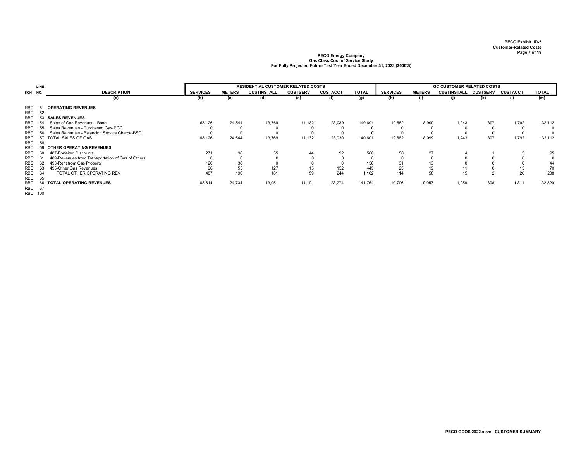|            | <b>LINE</b> |                                                   |                 |               | <b>RESIDENTIAL CUSTOMER RELATED COSTS</b> |                 |                 |              |                 |               | <b>GC CUSTOMER RELATED COSTS</b> |                 |                 |              |
|------------|-------------|---------------------------------------------------|-----------------|---------------|-------------------------------------------|-----------------|-----------------|--------------|-----------------|---------------|----------------------------------|-----------------|-----------------|--------------|
| SCH NO.    |             | <b>DESCRIPTION</b>                                | <b>SERVICES</b> | <b>METERS</b> | <b>CUSTINSTALL</b>                        | <b>CUSTSERV</b> | <b>CUSTACCT</b> | <b>TOTAL</b> | <b>SERVICES</b> | <b>METERS</b> | <b>CUSTINSTALL</b>               | <b>CUSTSERV</b> | <b>CUSTACCT</b> | <b>TOTAL</b> |
|            |             | (a)                                               | (b)             | (c)           | (d)                                       | (e)             |                 | (g)          | (h)             | (i)           | U)                               | (k)             | (1)             | (m)          |
| RBC        |             | <b>OPERATING REVENUES</b>                         |                 |               |                                           |                 |                 |              |                 |               |                                  |                 |                 |              |
| RBC        | 52          |                                                   |                 |               |                                           |                 |                 |              |                 |               |                                  |                 |                 |              |
| <b>RBC</b> | 53          | <b>SALES REVENUES</b>                             |                 |               |                                           |                 |                 |              |                 |               |                                  |                 |                 |              |
| <b>RBC</b> | 54          | Sales of Gas Revenues - Base                      | 68,126          | 24,544        | 13,769                                    | 11,132          | 23,030          | 140,601      | 19,682          | 8,999         | 1.243                            | 397             | 1,792           | 32,112       |
| RBC        | 55          | Sales Revenues - Purchased Gas-PGC                |                 |               |                                           |                 |                 |              |                 |               |                                  |                 |                 | $\Omega$     |
| RBC        | 56          | Sales Revenues - Balancing Service Charge-BSC     |                 |               |                                           |                 |                 |              |                 |               |                                  |                 |                 | $\Omega$     |
| RBC        | 57          | TOTAL SALES OF GAS                                | 68,126          | 24,544        | 13,769                                    | 11,132          | 23,030          | 140,601      | 19,682          | 8,999         | 1.243                            | 397             | 1,792           | 32,112       |
| RBC        | 58          |                                                   |                 |               |                                           |                 |                 |              |                 |               |                                  |                 |                 |              |
| RBC        | 59          | OTHER OPERATING REVENUES                          |                 |               |                                           |                 |                 |              |                 |               |                                  |                 |                 |              |
| <b>RBC</b> |             | 487-Forfeited Discounts                           | 271             | 98            | 55                                        | 44              | 92              | 560          | 58              | 27            |                                  |                 |                 | 95           |
| RBC        |             | 489-Revenues from Transportation of Gas of Others |                 |               |                                           |                 |                 |              |                 |               |                                  |                 |                 |              |
| RBC        | 62          | 493-Rent from Gas Property                        | 120             | 38            |                                           |                 |                 | 158          | 31              | 13            |                                  |                 |                 | 44           |
| RBC        | 63          | 495-Other Gas Revenues                            | 96              | 55            | 127                                       | 15              | 152             | 445          | 25              |               |                                  |                 | 15              | 70           |
| RBC        | 64          | TOTAL OTHER OPERATING REV                         | 487             | 190           | 181                                       | 59              | 244             | 1.162        | 114             | 58            | 15                               |                 | 20              | 208          |
| <b>RBC</b> | 65          |                                                   |                 |               |                                           |                 |                 |              |                 |               |                                  |                 |                 |              |
| RBC        | 66          | <b>TOTAL OPERATING REVENUES</b>                   | 68,614          | 24,734        | 13,951                                    | 11,191          | 23,274          | 141,764      | 19,796          | 9,057         | 1,258                            | 398             | 1,811           | 32,320       |
| RBC 67     |             |                                                   |                 |               |                                           |                 |                 |              |                 |               |                                  |                 |                 |              |
| RBC 100    |             |                                                   |                 |               |                                           |                 |                 |              |                 |               |                                  |                 |                 |              |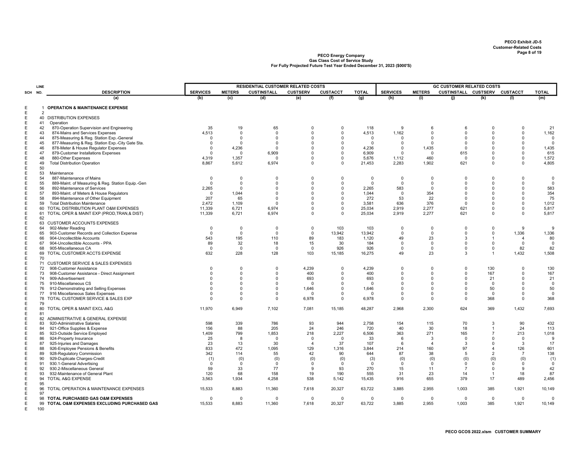|     | LINE           |                                                      |                 |                       | RESIDENTIAL CUSTOMER RELATED COSTS |                        |                            |              |                 |                        | <b>GC CUSTOMER RELATED COSTS</b> |                                  |                 |                         |
|-----|----------------|------------------------------------------------------|-----------------|-----------------------|------------------------------------|------------------------|----------------------------|--------------|-----------------|------------------------|----------------------------------|----------------------------------|-----------------|-------------------------|
| SCH | NO.            | <b>DESCRIPTION</b>                                   | <b>SERVICES</b> | <b>METERS</b>         | <b>CUSTINSTALL</b>                 | <b>CUSTSERV</b>        | <b>CUSTACCT</b>            | <b>TOTAL</b> | <b>SERVICES</b> | <b>METERS</b>          | CUSTINSTALL CUSTSERV CUSTACCT    |                                  |                 | <b>TOTAL</b>            |
|     |                | (a)                                                  | (b)             | (c)                   | (d)                                | (e)                    | (f)                        | (g)          | (h)             | (i)                    | (i)                              | (k)                              | (1)             | (m)                     |
|     |                |                                                      |                 |                       |                                    |                        |                            |              |                 |                        |                                  |                                  |                 |                         |
|     | $\overline{2}$ | <b>OPERATION &amp; MAINTENANCE EXPENSE</b>           |                 |                       |                                    |                        |                            |              |                 |                        |                                  |                                  |                 |                         |
|     |                | 40 DISTRIBUTION EXPENSES                             |                 |                       |                                    |                        |                            |              |                 |                        |                                  |                                  |                 |                         |
|     | 41             | Operation                                            |                 |                       |                                    |                        |                            |              |                 |                        |                                  |                                  |                 |                         |
|     | 42             | 870-Operation Supervision and Engineering            | 35              | 19                    | 65                                 | $\Omega$               | $\mathbf 0$                | 118          | 9               | 6                      | 6                                | $\mathbf 0$                      | 0               | 21                      |
|     | 43             | 874-Mains and Services Expenses                      | 4,513           | $\Omega$              | $\Omega$                           | $\Omega$               | $\Omega$                   | 4,513        | 1,162           | $\Omega$               | $\Omega$                         | $\Omega$                         | $\Omega$        | 1,162                   |
|     | 44             | 875-Measuring & Reg. Station Exp.-General            | $\Omega$        | $\Omega$              | $\Omega$                           | $^{\circ}$             | $\mathbf 0$                | $\mathbf 0$  | 0               | $\Omega$               | $\mathbf 0$                      | $^{\circ}$                       | 0               | $\overline{0}$          |
|     | 45             | 877-Measuring & Reg. Station Exp.-City Gate Sta.     | $\Omega$        | $\Omega$              | $\Omega$                           | $\Omega$               | $\Omega$                   | $\Omega$     | $\Omega$        | $\Omega$               | $\Omega$                         | $\Omega$                         | $\Omega$        | $\overline{0}$          |
|     | 46             | 878-Meter & House Regulator Expenses                 | $\Omega$        | 4,236                 | $\Omega$                           | $\Omega$               | $\mathbf 0$                | 4,236        | 0               | 1,435                  | $\Omega$                         | $^{\circ}$                       | $\mathbf 0$     | 1,435                   |
|     | 47             | 879-Customer Installations Expenses                  | $\Omega$        | $^{\circ}$            | 6,909                              | $\Omega$               | $\pmb{0}$                  | 6,909        | $\Omega$        | $\mathbf 0$            | 615                              | $\mathbf 0$                      | 0               | 615                     |
|     | 48<br>49       | 880-Other Expenses                                   | 4,319           | 1,357                 | $\Omega$                           | $\Omega$<br>$^{\circ}$ | $\mathbf 0$<br>$\mathbf 0$ | 5,676        | 1,112           | 460                    | $\mathbf 0$                      | 0<br>$^{\circ}$                  | 0<br>$\Omega$   | 1,572                   |
|     | 50             | <b>Total Distribution Operation</b>                  | 8,867           | 5,612                 | 6,974                              |                        |                            | 21,453       | 2,283           | 1,902                  | 621                              |                                  |                 | 4,805                   |
| E   | 53             | Maintenance                                          |                 |                       |                                    |                        |                            |              |                 |                        |                                  |                                  |                 |                         |
|     | 54             | 887-Maintenance of Mains                             | $\Omega$        | $^{\circ}$            | $\Omega$                           | $\Omega$               | $\Omega$                   | $\Omega$     | $\Omega$        | $\Omega$               | $\Omega$                         | $\Omega$                         | $\Omega$        | $\mathbf 0$             |
|     | 55             | 889-Maint. of Measuring & Reg. Station Equip.-Gen    | $\Omega$        | $\Omega$              | $\Omega$                           | $\mathbf 0$            | $\mathsf 0$                | $\mathbf 0$  | $\Omega$        | $\overline{0}$         | $\Omega$                         | $\mathbf 0$                      | $\Omega$        | $\overline{0}$          |
|     | 56             | 892-Maintenance of Services                          | 2,265           | $\Omega$              | $\Omega$                           | $\Omega$               | $\Omega$                   | 2,265        | 583             | $\Omega$               | $\Omega$                         | $\Omega$                         | 0               | 583                     |
|     | 57             | 893-Maint. of Meters & House Regulators              | $\Omega$        | 1,044                 | $\Omega$                           | $\Omega$               | $\mathbf 0$                | 1,044        | 0               | 354                    | $\mathbf 0$                      | $\Omega$                         | 0               | 354                     |
|     | 58             | 894-Maintenance of Other Equipment                   | 207             | 65                    | $\Omega$                           | $\Omega$               | $\Omega$                   | 272          | 53              | 22                     | $\Omega$                         | $\Omega$                         | $\Omega$        | 75                      |
|     | 59             | <b>Total Distribution Maintenance</b>                | 2,472           | 1,109                 | $\Omega$                           | $\Omega$               | $\mathbf 0$                | 3,581        | 636             | 376                    | $\Omega$                         | $\Omega$                         | $\Omega$        | 1,012                   |
|     | 60             | TOTAL DISTRIBUTION PLANT O&M EXPENSES                | 11,339          | 6,721                 | 6,974                              | $^{\circ}$             | $\mathbf 0$                | 25,034       | 2,919           | 2,277                  | 621                              | $\Omega$                         | 0               | 5,817                   |
|     | 61             | TOTAL OPER & MAINT EXP (PROD, TRAN, & DIST)          | 11,339          | 6,721                 | 6,974                              | $^{\circ}$             | $\Omega$                   | 25,034       | 2,919           | 2,277                  | 621                              | $^{\circ}$                       | $\mathbf 0$     | 5,817                   |
|     | 62             |                                                      |                 |                       |                                    |                        |                            |              |                 |                        |                                  |                                  |                 |                         |
|     | 63             | <b>CUSTOMER ACCOUNTS EXPENSES</b>                    |                 |                       |                                    |                        |                            |              |                 |                        |                                  |                                  |                 |                         |
|     | 64             | 902-Meter Reading                                    | $\Omega$        | 0                     | $\Omega$                           | 0                      | 103                        | 103          | 0               | $\mathbf 0$            | $\mathbf 0$                      | $\mathbf 0$                      | 9               | 9                       |
|     | 65             | 903-Customer Records and Collection Expense          | $\Omega$        | $^{\circ}$            | $\Omega$                           | $^{\circ}$             | 13,942                     | 13,942       | $\Omega$        | $\overline{0}$         | $\Omega$                         | $^{\circ}$                       | 1,336           | 1,336                   |
|     | 66             | 904-Uncollectible Accounts                           | 543             | 195                   | 110                                | 89                     | 183                        | 1,120        | 49              | 23                     | 3                                | $\overline{1}$                   | $\overline{4}$  | 80                      |
|     | 67             | 904-Uncollectible Accounts - PPA                     | 89              | 32                    | 18                                 | 15                     | 30                         | 184          | $\Omega$        | $\mathbf 0$            | $\mathbf 0$                      | 0                                | $\mathbf 0$     | $\overline{\mathbf{0}}$ |
|     | 68             | 905-Miscellaneous CA<br>TOTAL CUSTOMER ACCTS EXPENSE | $\Omega$<br>632 | $\overline{0}$<br>228 | $^{\circ}$<br>128                  | $\mathbf{0}$<br>103    | 926<br>15,185              | 926          | $\Omega$<br>49  | $\mathbf 0$<br>23      | $\Omega$<br>3                    | 0<br>$\overline{1}$              | 82<br>1,432     | 82                      |
|     | 69<br>70       |                                                      |                 |                       |                                    |                        |                            | 16,275       |                 |                        |                                  |                                  |                 | 1,508                   |
|     | 71             | <b>CUSTOMER SERVICE &amp; SALES EXPENSES</b>         |                 |                       |                                    |                        |                            |              |                 |                        |                                  |                                  |                 |                         |
|     | 72             | 908-Customer Assistance                              | $\Omega$        | $\mathbf 0$           | $\Omega$                           | 4,239                  | $\mathbf 0$                | 4,239        | $\Omega$        | $\Omega$               | $\Omega$                         | 130                              | $\Omega$        | 130                     |
|     | 73             | 908-Customer Assistance - Direct Assignment          | $\Omega$        | $\Omega$              | $\Omega$                           | 400                    | $\Omega$                   | 400          | $\Omega$        | $\Omega$               | $\Omega$                         | 167                              | $\Omega$        | 167                     |
|     | 74             | 909-Advertisement                                    | $\Omega$        | $\Omega$              | $\Omega$                           | 693                    | $\Omega$                   | 693          | $\Omega$        | $\Omega$               | $\Omega$                         | 21                               | $\Omega$        | 21                      |
|     | 75             | 910-Miscellaneous CS                                 | $\Omega$        | $\Omega$              | $\Omega$                           | $\Omega$               | $\Omega$                   | $\Omega$     | $\Omega$        | $\Omega$               | $\Omega$                         | $\overline{0}$                   | $\Omega$        | $\overline{0}$          |
|     | 76             | 912-Demonstrating and Selling Expenses               | $\Omega$        | $\Omega$              | $\Omega$                           | 1,646                  | $\Omega$                   | 1,646        | $\Omega$        | $\Omega$               | $\Omega$                         | 50                               | $\Omega$        | 50                      |
|     | 77             | 916 Miscellaneous Sales Expenses                     | $\Omega$        | $\Omega$              | $\Omega$                           | $\Omega$               | $\Omega$                   | $\Omega$     | $\Omega$        | $\Omega$               | $\Omega$                         | $\overline{0}$                   | $\Omega$        | $\overline{\mathbf{0}}$ |
|     | 78             | TOTAL CUSTOMER SERVICE & SALES EXP                   | $\Omega$        | $\Omega$              | $\Omega$                           | 6,978                  | $\mathsf 0$                | 6,978        | $\Omega$        | $\Omega$               | $\Omega$                         | 368                              | $\Omega$        | 368                     |
|     | 79             |                                                      |                 |                       |                                    |                        |                            |              |                 |                        |                                  |                                  |                 |                         |
|     | 80             | TOTAL OPER & MAINT EXCL A&G                          | 11,970          | 6,949                 | 7,102                              | 7,081                  | 15,185                     | 48,287       | 2,968           | 2,300                  | 624                              | 369                              | 1,432           | 7,693                   |
|     | 81             |                                                      |                 |                       |                                    |                        |                            |              |                 |                        |                                  |                                  |                 |                         |
|     | 82             | ADMINISTRATIVE & GENERAL EXPENSE                     |                 |                       |                                    |                        |                            |              |                 |                        |                                  |                                  |                 |                         |
|     | 83             | 920-Administrative Salaries                          | 598             | 339                   | 786                                | 93                     | 944                        | 2,758        | 154             | 115                    | 70                               | 3                                | 90              | 432                     |
|     | 84             | 921-Office Supplies & Expense                        | 156             | 88                    | 205                                | 24                     | 246                        | 720          | 40              | 30                     | 18                               | $\overline{1}$<br>$\overline{7}$ | 24              | 113                     |
|     | 85<br>86       | 923-Outside Service Employed                         | 1,409<br>25     | 799<br>8              | 1,853<br>$\Omega$                  | 218<br>$\Omega$        | 2,227<br>$^{\circ}$        | 6,506<br>33  | 363<br>6        | 271<br>3               | 165<br>$\Omega$                  | $\mathbf 0$                      | 213<br>$\Omega$ | 1,018<br>9              |
|     | 87             | 924-Property Insurance<br>925-Injuries and Damages   | 23              | 13                    | 30                                 | $\overline{4}$         | 37                         | 107          | 6               | $\boldsymbol{\Lambda}$ | 3                                | $\Omega$                         | 3               | 17                      |
|     | 88             | 926-Employee Pensions & Benefits                     | 833             | 472                   | 1,095                              | 129                    | 1,316                      | 3.844        | 214             | 160                    | 97                               | $\Delta$                         | 126             | 601                     |
|     | 89             | 928-Regulatory Commission                            | 342             | 114                   | 55                                 | 42                     | 90                         | 644          | 87              | 38                     | 5                                | $\overline{2}$                   | $\overline{7}$  | 138                     |
|     | 90             | 929-Duplicate Charges-Credit                         | (1)             | (0)                   | (0)                                | (0)                    | (0)                        | (3)          | (0)             | (0)                    | (0)                              | (0)                              | (0)             | (1)                     |
|     | 91             | 930.1-General Advertising                            | $\Omega$        | $^{\circ}$            | $\Omega$                           | $\Omega$               | $^{\circ}$                 | $\Omega$     | $\Omega$        | $\mathbf 0$            | $\mathbf 0$                      | $\mathbf 0$                      | $\mathbf 0$     | $\mathbf 0$             |
|     | 92             | 930.2-Miscellaneous General                          | 59              | 33                    | 77                                 | $\mathbf{Q}$           | 93                         | 270          | 15              | 11                     | $\overline{7}$                   | $\mathbf 0$                      | 9               | 42                      |
|     | 93             | 932-Maintenance of General Plant                     | 120             | 68                    | 158                                | 19                     | 190                        | 555          | 31              | 23                     | 14                               | $\overline{1}$                   | 18              | 87                      |
|     | 94             | TOTAL A&G EXPENSE                                    | 3,563           | 1,934                 | 4,258                              | 538                    | 5,142                      | 15,435       | 916             | 655                    | 379                              | 17                               | 489             | 2,456                   |
|     | 95             |                                                      |                 |                       |                                    |                        |                            |              |                 |                        |                                  |                                  |                 |                         |
|     | 96             | TOTAL OPERATION & MAINTENANCE EXPENSES               | 15,533          | 8,883                 | 11,360                             | 7,618                  | 20,327                     | 63,722       | 3,885           | 2,955                  | 1,003                            | 385                              | 1,921           | 10,149                  |
|     | 97             |                                                      |                 |                       |                                    |                        |                            |              |                 |                        |                                  |                                  |                 |                         |
|     | 98             | TOTAL PURCHASED GAS O&M EXPENSES                     | $\Omega$        | $\mathbf 0$           | $\Omega$                           | $\Omega$               | $\mathbf 0$                | $\mathbf 0$  | $\Omega$        | $\overline{0}$         | $\Omega$                         | $\mathbf{0}$                     | $\mathbf 0$     | $\Omega$                |
|     | 99             | TOTAL O&M EXPENSES EXCLUDING PURCHASED GAS           | 15,533          | 8.883                 | 11,360                             | 7,618                  | 20,327                     | 63,722       | 3,885           | 2,955                  | 1.003                            | 385                              | 1,921           | 10,149                  |
|     | 100            |                                                      |                 |                       |                                    |                        |                            |              |                 |                        |                                  |                                  |                 |                         |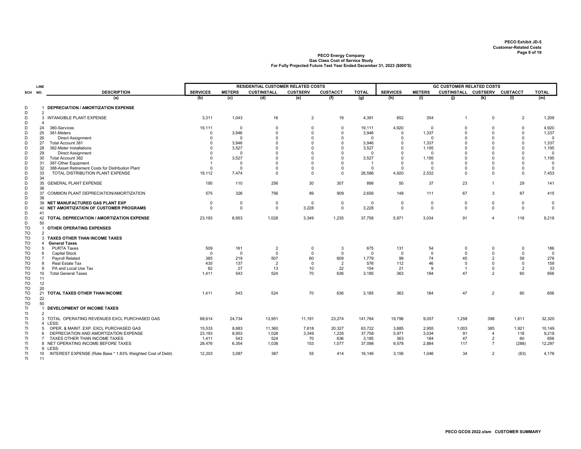|                | LINE                 |                                                                          |                 |                          | <b>RESIDENTIAL CUSTOMER RELATED COSTS</b> |                      |                      |              |                      |                        | <b>GC CUSTOMER RELATED COSTS</b> |                      |                      |                                  |
|----------------|----------------------|--------------------------------------------------------------------------|-----------------|--------------------------|-------------------------------------------|----------------------|----------------------|--------------|----------------------|------------------------|----------------------------------|----------------------|----------------------|----------------------------------|
| SCH NO.        |                      | <b>DESCRIPTION</b>                                                       | <b>SERVICES</b> | <b>METERS</b>            | <b>CUSTINSTALL</b>                        | <b>CUSTSERV</b>      | <b>CUSTACCT</b>      | <b>TOTAL</b> | <b>SERVICES</b>      | <b>METERS</b>          | CUSTINSTALL CUSTSERV CUSTACCT    |                      |                      | <b>TOTAL</b>                     |
|                |                      | (a)                                                                      | (b)             | (c)                      | (d)                                       | (e)                  | (f)                  | (g)          | (h)                  | (i)                    | (j)                              | (k)                  | (1)                  | (m)                              |
|                |                      |                                                                          |                 |                          |                                           |                      |                      |              |                      |                        |                                  |                      |                      |                                  |
| D<br>D         |                      | DEPRECIATION / AMORTIZATION EXPENSE                                      |                 |                          |                                           |                      |                      |              |                      |                        |                                  |                      |                      |                                  |
| D              | $\overline{2}$<br>3  | INTANGIBLE PLANT EXPENSE                                                 | 3,311           | 1,043                    | 16                                        | $\overline{2}$       | 19                   | 4,391        | 852                  | 354                    | $\overline{1}$                   | $\mathbf 0$          | $\overline{2}$       | 1,209                            |
| D              | $\overline{4}$       |                                                                          |                 |                          |                                           |                      |                      |              |                      |                        |                                  |                      |                      |                                  |
| D              | 24                   | 380-Services                                                             | 19,111          | $\mathbf 0$              | $\mathbf 0$                               | $\mathbf 0$          | $\mathbf 0$          | 19,111       | 4,920                | $\Omega$               | $\Omega$                         | $\Omega$             | $\mathbf 0$          | 4,920                            |
| D              | 25                   | 381-Meters                                                               | $\Omega$        | 3,946                    | $\Omega$                                  | $\Omega$             | $\Omega$             | 3,946        | $\Omega$             | 1,337                  | $\Omega$                         | $\Omega$             | $\Omega$             | 1,337                            |
| D              | 26                   | <b>Direct Assignment</b>                                                 | $\Omega$        | $\Omega$                 | $\Omega$                                  | $\Omega$             | $\Omega$             | $\Omega$     | $\Omega$             | $\Omega$               | $\Omega$                         | $\Omega$             | $\Omega$             | $\overline{0}$                   |
| D              | 27                   | Total Account 381                                                        | $\Omega$        | 3,946                    | $\Omega$                                  | $\Omega$             | $\Omega$             | 3,946        | $\Omega$             | 1,337                  | $\Omega$                         | $\Omega$             | $\Omega$             | 1,337                            |
| D              | 28                   | 382-Meter Installations                                                  |                 | 3,527                    | $\Omega$                                  | $\Omega$             | $\Omega$             | 3,527        |                      | 1,195                  | $\Omega$                         | $\Omega$             | $\Omega$             | 1,195                            |
| D              | 29                   | <b>Direct Assignment</b>                                                 | $\Omega$        | $^{\circ}$               | $\Omega$                                  | $\Omega$             | $\Omega$             | $\Omega$     | $\Omega$             | $\Omega$               | $\Omega$                         | $\Omega$             | $\mathbf 0$          | $\Omega$                         |
| D              | 30                   | Total Account 382                                                        | $\Omega$        | 3,527                    | $\Omega$<br>$\Omega$                      | $\Omega$<br>$\Omega$ | $\Omega$             | 3,527        | $\Omega$<br>$\Omega$ | 1,195                  | $\Omega$<br>$\Omega$             | $\Omega$<br>$\Omega$ | $\Omega$<br>$\Omega$ | 1,195                            |
| D<br>D         | 31<br>32             | 387-Other Equipment<br>388-Asset Retirement Costs for Distribution Plant | $\Omega$        | $^{\circ}$<br>$^{\circ}$ | $\Omega$                                  | $\Omega$             | $\Omega$<br>$\Omega$ | $\mathbf{0}$ | $\Omega$             | $\Omega$<br>$^{\circ}$ | $\Omega$                         | $\Omega$             | $\mathbf 0$          | $\overline{0}$<br>$\overline{0}$ |
| D              | 33                   | TOTAL DISTRIBUTION PLANT EXPENSE                                         | 19,112          | 7,474                    | $\mathbf 0$                               | $\mathbf 0$          | $\mathbf 0$          | 26,586       | 4,920                | 2,532                  | $\mathbf 0$                      | $\Omega$             | $\mathbf 0$          | 7,453                            |
| D              | 34                   |                                                                          |                 |                          |                                           |                      |                      |              |                      |                        |                                  |                      |                      |                                  |
| D              | 35                   | <b>GENERAL PLANT EXPENSE</b>                                             | 195             | 110                      | 256                                       | 30                   | 307                  | 898          | 50                   | 37                     | 23                               | $\overline{1}$       | 29                   | 141                              |
| D              | 36                   |                                                                          |                 |                          |                                           |                      |                      |              |                      |                        |                                  |                      |                      |                                  |
| D              | 37                   | COMMON PLANT DEPRECIATION/AMORTIZATION                                   | 575             | 326                      | 756                                       | 89                   | 909                  | 2,656        | 148                  | 111                    | 67                               | 3                    | 87                   | 415                              |
| D              | 38                   |                                                                          |                 |                          |                                           |                      |                      |              |                      |                        |                                  |                      |                      |                                  |
| D              |                      | 39 NET MANUFACTURED GAS PLANT EXP                                        | $\mathbf 0$     | $\mathbf 0$              | $\mathsf{O}$                              | $\mathbf 0$          | $\mathbf 0$          | $\mathbf 0$  | $\Omega$             | $^{\circ}$             | $\Omega$                         | $\mathbf 0$          | 0                    | $\mathbf 0$                      |
| D              | 40                   | NET AMORTIZATION OF CUSTOMER PROGRAMS                                    | $\mathbf 0$     | $\mathbf 0$              | $\mathsf{O}$                              | 3,228                | $\mathsf 0$          | 3,228        | $\Omega$             | $\Omega$               | 0                                | $\Omega$             | 0                    | $\mathbf 0$                      |
| D              | 41                   |                                                                          |                 |                          |                                           |                      |                      |              |                      |                        |                                  |                      |                      |                                  |
| D              |                      | 42 TOTAL DEPRECIATION / AMORTIZATION EXPENSE                             | 23,193          | 8,953                    | 1,028                                     | 3,349                | 1,235                | 37,758       | 5,971                | 3,034                  | 91                               | $\overline{4}$       | 118                  | 9,218                            |
| D<br><b>TO</b> | 50<br>$\overline{1}$ | <b>OTHER OPERATING EXPENSES</b>                                          |                 |                          |                                           |                      |                      |              |                      |                        |                                  |                      |                      |                                  |
| TO             | $\overline{2}$       |                                                                          |                 |                          |                                           |                      |                      |              |                      |                        |                                  |                      |                      |                                  |
| TO             |                      | 3 TAXES OTHER THAN INCOME TAXES                                          |                 |                          |                                           |                      |                      |              |                      |                        |                                  |                      |                      |                                  |
| <b>TO</b>      | 4                    | <b>General Taxes</b>                                                     |                 |                          |                                           |                      |                      |              |                      |                        |                                  |                      |                      |                                  |
| TO             | 5                    | <b>PURTA Taxes</b>                                                       | 509             | 161                      | 2                                         | 0                    | -3                   | 675          | 131                  | 54                     | $\mathbf 0$                      | $\Omega$             | $\mathbf 0$          | 186                              |
| TO             | 6                    | Capital Stock                                                            | $\Omega$        | $\Omega$                 | $\Omega$                                  | $\Omega$             | $\mathbf 0$          | $\mathbf 0$  | $\Omega$             | $\Omega$               | $\Omega$                         | $\Omega$             | $\Omega$             | $\mathbf 0$                      |
| TO             | $\overline{7}$       | Payroll Related                                                          | 385             | 219                      | 507                                       | 60                   | 609                  | 1,779        | 99                   | 74                     | 45                               | $\overline{2}$       | 58                   | 278                              |
| TO             | 8                    | Real Estate Tax                                                          | 435             | 137                      | $\overline{2}$                            | $\mathbf 0$          | $\overline{2}$       | 576          | 112                  | 46                     | $\mathbf 0$                      | $\Omega$             | $\Omega$             | 159                              |
| TO             | 9                    | PA and Local Use Tax                                                     | 82              | 27                       | 13                                        | 10                   | 22                   | 154          | 21                   | 9                      | $\overline{1}$                   | $\mathbf 0$          | $\overline{2}$       | 33                               |
| TO             | 10                   | <b>Total General Taxes</b>                                               | 1,411           | 543                      | 524                                       | 70                   | 636                  | 3,185        | 363                  | 184                    | 47                               | $\overline{2}$       | 60                   | 656                              |
| TO             | 11                   |                                                                          |                 |                          |                                           |                      |                      |              |                      |                        |                                  |                      |                      |                                  |
| TO<br>TO       | 12<br>20             |                                                                          |                 |                          |                                           |                      |                      |              |                      |                        |                                  |                      |                      |                                  |
| TO             | 21                   | TOTAL TAXES OTHER THAN INCOME                                            | 1.411           | 543                      | 524                                       | 70                   | 636                  | 3,185        | 363                  | 184                    | 47                               | $\overline{2}$       | 60                   | 656                              |
| <b>TO</b>      | 22                   |                                                                          |                 |                          |                                           |                      |                      |              |                      |                        |                                  |                      |                      |                                  |
| TO             | 50                   |                                                                          |                 |                          |                                           |                      |                      |              |                      |                        |                                  |                      |                      |                                  |
| ΤI             |                      | DEVELOPMENT OF INCOME TAXES                                              |                 |                          |                                           |                      |                      |              |                      |                        |                                  |                      |                      |                                  |
| TI.            | $\overline{2}$       |                                                                          |                 |                          |                                           |                      |                      |              |                      |                        |                                  |                      |                      |                                  |
| TI             |                      | 3 TOTAL OPERATING REVENUES EXCL PURCHASED GAS                            | 68,614          | 24,734                   | 13,951                                    | 11,191               | 23,274               | 141,764      | 19,796               | 9,057                  | 1,258                            | 398                  | 1,811                | 32,320                           |
| TI.            |                      | 4 LESS:                                                                  |                 |                          |                                           |                      |                      |              |                      |                        |                                  |                      |                      |                                  |
| TI             | -5                   | OPER. & MAINT. EXP. EXCL PURCHASED GAS                                   | 15,533          | 8,883                    | 11,360                                    | 7,618                | 20,327               | 63,722       | 3,885                | 2,955                  | 1,003                            | 385                  | 1,921                | 10,149                           |
| ΤI             | 6                    | DEPRECIATION AND AMORTIZATION EXPENSE                                    | 23,193          | 8,953                    | 1,028                                     | 3,349                | 1,235                | 37,758       | 5,971                | 3,034                  | 91                               | $\overline{4}$       | 118                  | 9,218                            |
| ΤI             | $\overline{7}$       | TAXES OTHER THAN INCOME TAXES                                            | 1,411           | 543                      | 524                                       | 70                   | 636                  | 3,185        | 363                  | 184                    | 47                               | 2<br>$\overline{7}$  | 60                   | 656                              |
| TI<br>TI       |                      | 8 NET OPERATING INCOME BEFORE TAXES<br>9 LESS:                           | 28,476          | 6,354                    | 1,038                                     | 153                  | 1,077                | 37,098       | 9,578                | 2,884                  | 117                              |                      | (288)                | 12,297                           |
| TI             | 10                   | INTEREST EXPENSE (Rate Base * 1.83% Weighted Cost of Debt)               | 12,203          | 3.087                    | 387                                       | 55                   | 414                  | 16,146       | 3,156                | 1.046                  | 34                               | $\overline{2}$       | (63)                 | 4,176                            |
| TI.            | 11                   |                                                                          |                 |                          |                                           |                      |                      |              |                      |                        |                                  |                      |                      |                                  |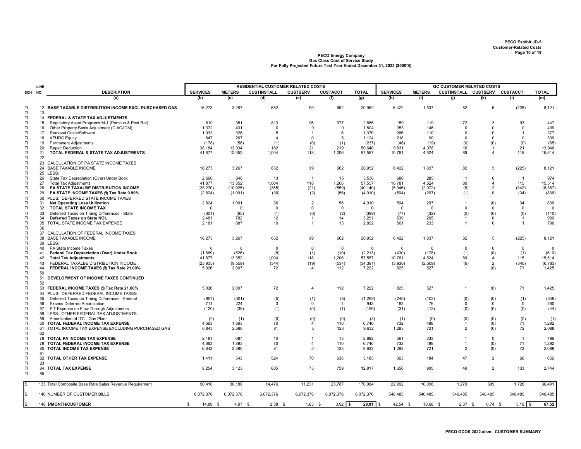|           | LINE                    |                                                                           |                   |               |                    | <b>RESIDENTIAL CUSTOMER RELATED COSTS</b> |                 |                  |                 |               | <b>GC CUSTOMER RELATED COSTS</b> |                                |                |                  |
|-----------|-------------------------|---------------------------------------------------------------------------|-------------------|---------------|--------------------|-------------------------------------------|-----------------|------------------|-----------------|---------------|----------------------------------|--------------------------------|----------------|------------------|
| SCH       | NO.                     | <b>DESCRIPTION</b>                                                        | <b>SERVICES</b>   | <b>METERS</b> | <b>CUSTINSTALL</b> | <b>CUSTSERV</b>                           | <b>CUSTACCT</b> | <b>TOTAL</b>     | <b>SERVICES</b> | <b>METERS</b> | CUSTINSTALL CUSTSERV CUSTACCT    |                                |                | <b>TOTAL</b>     |
|           |                         | (a)                                                                       | (b)               | (c)           | (d)                | (e)                                       | (f)             | (g)              | (h)             | (i)           | (i)                              | (k)                            | (1)            | (m)              |
| TI.<br>TI | $12 \overline{ }$<br>13 | <b>BASE TAXABLE DISTRIBUTION INCOME EXCL PURCHASED GAS</b>                | 16,273            | 3,267         | 652                | 99                                        | 662             | 20,952           | 6,422           | 1,837         | 82                               | 5                              | (225)          | 8,121            |
| TI.       |                         | 14 FEDERAL & STATE TAX ADJUSTMENTS                                        |                   |               |                    |                                           |                 |                  |                 |               |                                  |                                |                |                  |
| ΤI        | 15                      | Regulatory Asset Programs M-1 (Pension & Post Ret)                        | 619               | 351           | 813                | 96                                        | 977             | 2,856            | 159             | 119           | 72                               | 3                              | 93             | 447              |
| ΤI        | 16                      | Other Property Basis Adjustment (CIAC/ICM)                                | 1,372             | 431           | $\mathbf 0$        | $\Omega$                                  | $\mathbf 0$     | 1,804            | 353             | 146           | $\Omega$                         | $\Omega$                       | $\Omega$       | 499              |
| ΤI        | 17                      | Removal Costs/Software                                                    | 1.033             | 326           | 5                  | $\mathbf{1}$                              | 6               | 1,370            | 266             | 110           | $\Omega$                         | $\Omega$                       | $\overline{1}$ | 377              |
| TI.       | 18                      | <b>AFUDC Equity</b>                                                       | 847               | 267           | $\overline{4}$     | $\mathbf 0$                               | 5               | 1,124            | 218             | 90            | $\mathbf 0$                      | $\mathbf 0$                    | $\mathbf 0$    | 309              |
| TI.       | 19                      | <b>Permanent Adjustments</b>                                              | (178)             | (56)          | (1)                | (0)                                       | (1)             | (237)            | (46)            | (19)          | (0)                              | (0)                            | (0)            | (65)             |
| ΤI<br>ΤI  | 20<br>21                | <b>Repair Deduction</b><br>TOTAL FEDERAL & STATE TAX ADJUSTMENTS          | 38,184            | 12,034        | 182<br>1,004       | 21<br>118                                 | 219<br>1,206    | 50,640<br>57,557 | 9,831           | 4,078         | 16<br>89                         | $\mathbf{1}$<br>$\overline{4}$ | 21<br>115      | 13,946<br>15,514 |
| ΤI        | 22                      |                                                                           | 41,877            | 13,352        |                    |                                           |                 |                  | 10,781          | 4,524         |                                  |                                |                |                  |
| TI.<br>TI | 23                      | CALCULATION OF PA STATE INCOME TAXES<br>24 BASE TAXABLE INCOME            | 16,273            | 3,267         | 652                | 99                                        | 662             | 20,952           | 6,422           | 1,837         | 82                               | 5                              | (225)          | 8,121            |
| TI<br>ΤI  | 26                      | 25 LESS:                                                                  | 2,666             | 840           | 13                 | $\overline{1}$                            | 15              | 3,536            | 686             | 285           |                                  | $\Omega$                       | $\overline{1}$ | 974              |
| ΤI        | 27                      | State Tax Depreciation (Over) Under Book<br><b>Total Tax Adjustments</b>  | 41,877            | 13,352        | 1,004              | 118                                       | 1,206           | 57,557           | 10.781          | 4.524         | 89                               | $\overline{\mathbf{A}}$        | 115            | 15,514           |
| TI.       | 28                      | PA STATE TAXALBE DISTRIBUTION INCOME                                      | (28, 270)         | (10, 925)     | (365)              | (21)                                      | (559)           | (40, 140)        | (5,046)         | (2,972)       | (8)                              | $\overline{2}$                 | (342)          | (8, 367)         |
| ΤI        | 29                      | PA STATE INCOME TAXES @ Tax Rate 9.99%                                    | (2,824)           | (1,091)       | (36)               | (2)                                       | (56)            | (4,010)          | (504)           | (297)         | (1)                              | $\mathbf 0$                    | (34)           | (836)            |
| ΤI        | 30                      | PLUS: DEFERRED STATE INCOME TAXES                                         |                   |               |                    |                                           |                 |                  |                 |               |                                  |                                |                |                  |
| ΤI        | 31                      | <b>Net Operating Loss Utilization</b>                                     | 2,824             | 1,091         | 36                 | $\overline{2}$                            | 56              | 4,010            | 504             | 297           | -1                               | (0)                            | 34             | 836              |
| TI.       | 32                      | <b>TOTAL STATE INCOME TAX</b>                                             | $\overline{0}$    | $\mathbf 0$   | $^{\circ}$         | $^{\circ}$                                | $\mathbf 0$     | $\mathbf 0$      | $^{\circ}$      | $^{\circ}$    | $\mathbf 0$                      | $^{\circ}$                     | $\mathbf{0}$   | $\Omega$         |
| TI.       | 33                      | Deferred Taxes on Timing Differences - State                              | (301)             | (95)          | (1)                | (0)                                       | (2)             | (399)            | (77)            | (32)          | (0)                              | (0)                            | (0)            | (110)            |
| ΤI        | 34                      | Deferred Taxes on State NOL                                               | 2,481             | 782           | 12                 | $\overline{1}$                            | 14              | 3,291            | 639             | 265           | 1                                | $\mathbf 0$                    | $\mathbf{1}$   | 906              |
| ΤI<br>ΤI  | 35<br>36                | TOTAL STATE INCOME TAX EXPENSE                                            | 2,181             | 687           | 10                 | $\overline{1}$                            | 13              | 2,892            | 561             | 233           | $\mathbf{1}$                     | $\mathbf 0$                    | $\mathbf{1}$   | 796              |
| TI.       |                         | 37 CALCULATION OF FEDERAL INCOME TAXES                                    |                   |               |                    |                                           |                 |                  |                 |               |                                  |                                |                |                  |
| TI        | 38                      | <b>BASE TAXABLE INCOME</b>                                                | 16,273            | 3,267         | 652                | 99                                        | 662             | 20,952           | 6,422           | 1,837         | 82                               | 5                              | (225)          | 8,121            |
| TI        |                         | 39 LESS:                                                                  |                   |               |                    |                                           |                 |                  |                 |               |                                  |                                |                |                  |
| ΤI        | 40                      | PA State Income Taxes                                                     | $\mathbf{0}$      | $^{\circ}$    | $\mathbf 0$        | $\mathbf 0$                               | $\Omega$        | $\mathbf 0$      | $\mathbf 0$     | $\Omega$      | $\Omega$                         | $\Omega$                       | $\mathbf 0$    | $\overline{0}$   |
| ΤI        | 41                      | Federal Tax Depreciation (Over) Under Book                                | (1,669)           | (526)         | (8)                | (1)                                       | (10)            | (2, 213)         | (430)           | (178)         | (1)                              | (0)                            | (1)            | (610)            |
| ΤI        | 42                      | <b>Total Tax Adjustments</b>                                              | 41,877            | 13,352        | 1,004              | 118                                       | 1,206           | 57,557           | 10,781          | 4,524         | 89                               | $\overline{4}$                 | 115            | 15,514           |
| ΤI        | 43                      | FEDERAL TAXALBE DISTRIBUTION INCOME                                       | (23, 935)         | (9,559)       | (344)              | (19)<br>$\overline{\mathbf{4}}$           | (534)           | (34, 391)        | (3,930)         | (2, 509)      | (6)                              | $\overline{2}$                 | (340)          | (6, 783)         |
| TI<br>TI  | 44<br>50                | FEDERAL INCOME TAXES @ Tax Rate 21.00%                                    | 5,026             | 2,007         | 72                 |                                           | 112             | 7,222            | 825             | 527           |                                  | (0)                            | 71             | 1,425            |
| TI<br>TI. | 51<br>52                | DEVELOPMENT OF INCOME TAXES CONTINUED                                     |                   |               |                    |                                           |                 |                  |                 |               |                                  |                                |                |                  |
| TI.       | 53                      | FEDERAL INCOME TAXES @ Tax Rate 21.00%                                    | 5,026             | 2,007         | 72                 | $\overline{4}$                            | 112             | 7,222            | 825             | 527           | $\mathbf{1}$                     | (0)                            | 71             | 1,425            |
| ΤI        |                         | 54 PLUS: DEFERRED FEDERAL INCOME TAXES                                    |                   |               |                    |                                           |                 |                  |                 |               |                                  |                                |                |                  |
| ΤI        | 55                      | Deferred Taxes on Timing Differences - Federal                            | (957)             | (301)         | (5)                | (1)                                       | (5)             | (1,269)          | (246)           | (102)         | (0)                              | (0)                            | (1)            | (349)            |
| TI        | 56                      | <b>Excess Deferred Amortization</b>                                       | 711               | 224           | 3                  | 0                                         | $\overline{4}$  | 943              | 183             | 76            | 0                                | $\mathbf{0}$                   | 0              | 260              |
| ΤI        | 57                      | FIT Expense on Flow Through Adjustments                                   | (120)             | (38)          | (1)                | (0)                                       | (1)             | (159)            | (31)            | (13)          | (0)                              | (0)                            | (0)            | (44)             |
| TI.<br>TI | 59                      | 58 LESS: OTHER FEDERAL TAX ADJUSTMENTS<br>Amortization of ITC - Gas Plant | (2)               | (1)           | (0)                | (0)                                       | (0)             | (3)              | (1)             | (0)           |                                  | (0)                            |                |                  |
| ΤI        | 60                      | TOTAL FEDERAL INCOME TAX EXPENSE                                          | 4,663             | 1,893         | 70                 | $\overline{4}$                            | 110             | 6,740            | 732             | 488           | (0)                              | (0)                            | (0)<br>71      | (1)<br>1,292     |
| TI        | 61                      | TOTAL INCOME TAX EXPENSE EXCLUDING PURCHASED GAS                          | 6,843             | 2,580         | 81                 | 5                                         | 123             | 9,632            | 1,293           | 721           | $\overline{2}$                   | (0)                            | 72             | 2,088            |
| TI.       | 62                      |                                                                           |                   |               |                    |                                           |                 |                  |                 |               |                                  |                                |                |                  |
| TI.       |                         | 78 TOTAL PA INCOME TAX EXPENSE                                            | 2.181             | 687           | 10                 | $\overline{1}$                            | 13              | 2,892            | 561             | 233           | $\mathbf{1}$                     | $\mathbf 0$                    | $\overline{1}$ | 796              |
| TI.       | 79                      | TOTAL FEDERAL INCOME TAX EXPENSE                                          | 4,663             | 1,893         | 70                 | $\overline{\mathbf{4}}$                   | 110             | 6,740            | 732             | 488           | $\mathbf{1}$                     | (0)                            | 71             | 1,292            |
| ΤI        | 80                      | TOTAL INCOME TAX EXPENSE                                                  | 6.843             | 2,580         | 81                 | 5                                         | 123             | 9,632            | 1,293           | 721           | $\overline{2}$                   | (0)                            | 72             | 2,088            |
| TI        | 81                      |                                                                           |                   |               |                    |                                           |                 |                  |                 |               | 47                               |                                | 60             |                  |
| ΤI<br>ΤI  | 83                      | 82 TOTAL OTHER TAX EXPENSE                                                | 1.411             | 543           | 524                | 70                                        | 636             | 3,185            | 363             | 184           |                                  | $\overline{2}$                 |                | 656              |
| TI<br>TI  | 84<br>85                | <b>TOTAL TAX EXPENSE</b>                                                  | 8,254             | 3,123         | 605                | 75                                        | 759             | 12,817           | 1,656           | 905           | 49                               | $\overline{2}$                 | 133            | 2,744            |
| ls.       |                         | 133 Total Composite Base Rate Sales Revenue Requirement                   | 90,410            | 30,180        | 14.476             | 11,231                                    | 23,787          | 170,084          | 22.992          | 10,096        | 1.279                            | 399                            | 1,726          | 36,491           |
|           |                         | 146 NUMBER OF CUSTOMER BILLS                                              | 6,072,376         | 6,072,376     | 6,072,376          | 6,072,376                                 | 6,072,376       | 6,072,376        | 540,485         | 540,485       | 540,485                          | 540,485                        | 540,485        | 540,485          |
|           |                         |                                                                           |                   |               |                    |                                           |                 |                  |                 |               |                                  |                                |                |                  |
| ıs        |                         | 148 \$/MONTH/CUSTOMER                                                     | 14.89<br>\$<br>\$ | $4.97$ \$     | $2.38$ \$          | $1.85$ \$                                 | $3.92$ \$       | $28.01$ \$       | 42.54 \$        | 18.68 \$      | $2.37$ \$                        | $0.74$ \$                      | $3.19$ \$      | 67.52            |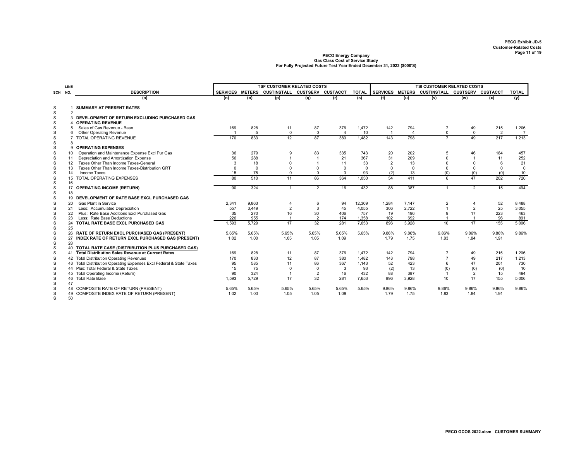|                            | LINE     |                                                                            |                |             | <b>TSF CUSTOMER RELATED COSTS</b>             |                      |                |              |                 |                | <b>TSI CUSTOMER RELATED COSTS</b> |                      |                |                |
|----------------------------|----------|----------------------------------------------------------------------------|----------------|-------------|-----------------------------------------------|----------------------|----------------|--------------|-----------------|----------------|-----------------------------------|----------------------|----------------|----------------|
| SCH NO.                    |          | <b>DESCRIPTION</b>                                                         |                |             | SERVICES METERS CUSTINSTALL CUSTSERV CUSTACCT |                      |                | <b>TOTAL</b> | <b>SERVICES</b> | <b>METERS</b>  | CUSTINSTALL CUSTSERV CUSTACCT     |                      |                | <b>TOTAL</b>   |
|                            |          | (a)                                                                        | (n)            | (o)         | (p)                                           | (q)                  | (r)            | (s)          | (t)             | (u)            | (v)                               | (w)                  | (x)            | (y)            |
| S                          |          | <b>SUMMARY AT PRESENT RATES</b>                                            |                |             |                                               |                      |                |              |                 |                |                                   |                      |                |                |
| S                          | 2        |                                                                            |                |             |                                               |                      |                |              |                 |                |                                   |                      |                |                |
| S                          |          | 3 DEVELOPMENT OF RETURN EXCLUDING PURCHASED GAS                            |                |             |                                               |                      |                |              |                 |                |                                   |                      |                |                |
| $\mathbb S$                | 4        | <b>OPERATING REVENUE</b>                                                   |                |             |                                               |                      |                |              |                 |                |                                   |                      |                |                |
| S                          | 5        | Sales of Gas Revenue - Base                                                | 169            | 828         | 11                                            | 87                   | 376            | 1,472        | 142             | 794            | $\overline{7}$                    | 49                   | 215            | 1,206          |
| $\mathbb S$                | 6        | <b>Other Operating Revenue</b>                                             | $\overline{1}$ | 5           | $\mathbf{0}$                                  | $\mathbf 0$          | $\overline{4}$ | 10           |                 | $\overline{4}$ | $\mathbf 0$                       | $\mathbf 0$          | $\overline{2}$ | $\overline{7}$ |
| $\mathbb S$                |          | 7 TOTAL OPERATING REVENUE                                                  | 170            | 833         | 12                                            | 87                   | 380            | 1.482        | 143             | 798            | $\overline{7}$                    | 49                   | 217            | 1,213          |
| $\mathbb S$                | 8        |                                                                            |                |             |                                               |                      |                |              |                 |                |                                   |                      |                |                |
| S                          |          | 9 OPERATING EXPENSES                                                       |                |             |                                               |                      |                |              |                 |                |                                   |                      |                |                |
| S                          | 10       | Operation and Maintenance Expense Excl Pur Gas                             | 36             | 279         | 9                                             | 83                   | 335            | 743          | 20              | 202            | 5                                 | 46                   | 184            | 457            |
| S                          | 11       | Depreciation and Amortization Expense                                      | 56             | 288         |                                               | -1                   | 21             | 367          | 31              | 209            | $\Omega$                          | $\overline{1}$       | 11             | 252            |
| S                          | 12       | Taxes Other Than Income Taxes-General                                      | 3              | 18          |                                               |                      | 11             | 33           | 2               | 13             | $\Omega$                          | $\Omega$             | 6              | 21             |
| S                          | 13       | Taxes Other Than Income Taxes-Distribution GRT                             | $\Omega$       | $\mathbf 0$ |                                               | $\Omega$             | $\Omega$       | $\mathbf 0$  | $\Omega$        | $\Omega$       | $\Omega$                          | $\Omega$             | $\mathbf 0$    | $\mathsf 0$    |
| ${\mathsf S}$              | 14       | Income Taxes                                                               | 15             | 75          | 0                                             | $\Omega$             | 3              | 93           | (2)             | 13             | (0)                               | (0)                  | (0)            | 10             |
| $\mathbb S$<br>$\mathbb S$ | 16       | 15 TOTAL OPERATING EXPENSES                                                | 80             | 510         | 11                                            | 86                   | 364            | 1,050        | 54              | 411            | 6                                 | 47                   | 202            | 720            |
| S                          |          | 17 OPERATING INCOME (RETURN)                                               | 90             | 324         | $\overline{1}$                                | $\overline{2}$       | 16             | 432          | 88              | 387            | $\mathbf{1}$                      | $\overline{2}$       | 15             | 494            |
| ${\mathsf S}$              | 18       |                                                                            |                |             |                                               |                      |                |              |                 |                |                                   |                      |                |                |
| $\mathbb S$                |          | 19 DEVELOPMENT OF RATE BASE EXCL PURCHASED GAS                             |                |             |                                               |                      |                |              |                 |                |                                   |                      |                |                |
| S                          | 20       | <b>Gas Plant in Service</b>                                                | 2,341          | 9.863       |                                               | 6                    | 94             | 12,309       | 1,284           | 7,147          | $\overline{2}$<br>$\overline{1}$  | $\overline{4}$       | 52             | 8,488          |
| S                          | 21       | Less: Accumulated Depreciation                                             | 557            | 3,449       | $\overline{2}$                                | 3                    | 45             | 4,055        | 306             | 2,722          | 9                                 | $\overline{2}$       | 25             | 3,055<br>463   |
| S<br>$\mathbb S$           | 22<br>23 | Plus: Rate Base Additions Excl Purchased Gas<br>Less: Rate Base Deductions | 35<br>226      | 270<br>955  | 16                                            | 30<br>$\overline{2}$ | 406<br>174     | 757<br>1,358 | 19<br>102       | 196<br>692     | $\overline{1}$                    | 17<br>$\overline{1}$ | 223<br>96      | 891            |
| S                          |          | 24 TOTAL RATE BASE EXCL PURCHASED GAS                                      | 1,593          | 5,729       | 17                                            | 32                   | 281            | 7.653        | 896             | 3,928          | 10                                | 17                   | 155            | 5,006          |
| ${\mathsf S}$              | 25       |                                                                            |                |             |                                               |                      |                |              |                 |                |                                   |                      |                |                |
| S                          |          | 26 RATE OF RETURN EXCL PURCHASED GAS (PRESENT)                             | 5.65%          | 5.65%       | 5.65%                                         | 5.65%                | 5.65%          | 5.65%        | 9.86%           | 9.86%          | 9.86%                             | 9.86%                | 9.86%          | 9.86%          |
| $\mathbb S$                |          | 27 INDEX RATE OF RETURN EXCL PURCHASED GAS (PRESENT)                       | 1.02           | 1.00        | 1.05                                          | 1.05                 | 1.09           |              | 1.79            | 1.75           | 1.83                              | 1.84                 | 1.91           |                |
| $\mathbb S$                | 28       |                                                                            |                |             |                                               |                      |                |              |                 |                |                                   |                      |                |                |
| $\mathbb S$                |          | 40 TOTAL RATE CASE (DISTRIBUTION PLUS PURCHASED GAS)                       |                |             |                                               |                      |                |              |                 |                |                                   |                      |                |                |
| S                          |          | 41 Total Distribution Sales Revenue at Current Rates                       | 169            | 828         | 11                                            | 87                   | 376            | 1.472        | 142             | 794            | $\overline{7}$                    | 49                   | 215            | 1,206          |
| S                          |          | 42 Total Distribution Operating Revenues                                   | 170            | 833         | 12                                            | 87                   | 380            | 1,482        | 143             | 798            | $\overline{7}$                    | 49                   | 217            | 1,213          |
| S                          |          | 43 Total Distribution Operating Expenses Excl Federal & State Taxes        | 95             | 585         | 11                                            | 86                   | 367            | 1.143        | 52              | 423            | 6                                 | 47                   | 201            | 730            |
| S                          |          | 44 Plus: Total Federal & State Taxes                                       | 15             | 75          | $\mathbf 0$                                   | $\mathbf 0$          | 3              | 93           | (2)             | 13             | (0)                               | (0)                  | (0)            | 10             |
| S                          |          | 45 Total Operating Income (Return)                                         | 90             | 324         |                                               | 2                    | 16             | 432          | 88              | 387            | $\overline{1}$                    | 2                    | 15             | 494            |
| S                          |          | 46 Total Rate Base                                                         | 1,593          | 5,729       | 17                                            | 32                   | 281            | 7.653        | 896             | 3,928          | 10                                | 17                   | 155            | 5,006          |
| S                          | 47       |                                                                            |                |             |                                               |                      |                |              |                 |                |                                   |                      |                |                |
| S                          |          | 48 COMPOSITE RATE OF RETURN (PRESENT)                                      | 5.65%          | 5.65%       | 5.65%                                         | 5.65%                | 5.65%          | 5.65%        | 9.86%           | 9.86%          | 9.86%                             | 9.86%                | 9.86%          | 9.86%          |
| S                          |          | 49 COMPOSITE INDEX RATE OF RETURN (PRESENT)                                | 1.02           | 1.00        | 1.05                                          | 1.05                 | 1.09           |              | 1.79            | 1.75           | 1.83                              | 1.84                 | 1.91           |                |
| s                          | 50       |                                                                            |                |             |                                               |                      |                |              |                 |                |                                   |                      |                |                |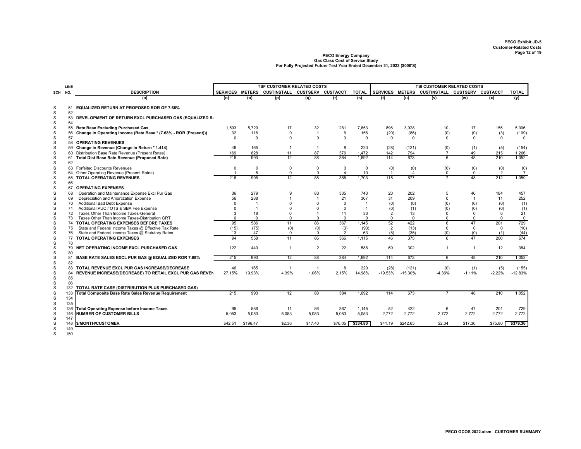|         | LINE     |                                                                  |                |              | <b>TSF CUSTOMER RELATED COSTS</b>             |                |                |                |                 |             | <b>TSI CUSTOMER RELATED COSTS</b> |                |                |                |
|---------|----------|------------------------------------------------------------------|----------------|--------------|-----------------------------------------------|----------------|----------------|----------------|-----------------|-------------|-----------------------------------|----------------|----------------|----------------|
| SCH NO. |          | <b>DESCRIPTION</b>                                               |                |              | SERVICES METERS CUSTINSTALL CUSTSERV CUSTACCT |                |                | <b>TOTAL</b>   | SERVICES METERS |             | CUSTINSTALL CUSTSERV CUSTACCT     |                |                | <b>TOTAL</b>   |
|         |          | (a)                                                              | (n)            | (o)          | (p)                                           | (q)            | (r)            | (s)            | (t)             | (u)         | (v)                               | (w)            | (x)            | (y)            |
|         |          |                                                                  |                |              |                                               |                |                |                |                 |             |                                   |                |                |                |
| S<br>s  | 51<br>52 | <b>EQUALIZED RETURN AT PROPOSED ROR OF 7.68%</b>                 |                |              |                                               |                |                |                |                 |             |                                   |                |                |                |
| S<br>S  | 53<br>54 | DEVELOPMENT OF RETURN EXCL PURCHASED GAS (EQUALIZED R.           |                |              |                                               |                |                |                |                 |             |                                   |                |                |                |
| s       | 55       | Rate Base Excluding Purchased Gas                                | 1,593          | 5,729        | 17                                            | 32             | 281            | 7,653          | 896             | 3,928       | 10                                | 17             | 155            | 5,006          |
| S       | 56       | Change in Operating Income (Rate Base * (7.68% - ROR (Present))) | 32             | 116          | $\mathbf 0$                                   | $\mathbf{1}$   | 6              | 156            | (20)            | (86)        | (0)                               | (0)            | (3)            | (109)          |
| s       | 57       |                                                                  | $\Omega$       | $\Omega$     | $\Omega$                                      | $\Omega$       | $\Omega$       | $\Omega$       | $\Omega$        | $\Omega$    | $\Omega$                          | $^{\circ}$     | $^{\circ}$     | $\Omega$       |
| s       |          | 58 OPERATING REVENUES                                            |                |              |                                               |                |                |                |                 |             |                                   |                |                |                |
| S       |          | 59 Change in Revenue (Change in Return * 1.414)                  | 46             | 165          |                                               | $\overline{1}$ | 8              | 220            | (28)            | (121)       | (0)                               | (1)            | (5)            | (154)          |
| S       |          | 60 Distribution Base Rate Revenue (Present Rates)                | 169            | 828          | 11                                            | 87             | 376            | 1.472          | 142             | 794         | $\overline{7}$                    | 49             | 215            | 1,206          |
| S       |          | 61 Total Dist Base Rate Revenue (Proposed Rate)                  | 215            | 993          | 12                                            | 88             | 384            | 1.692          | 114             | 673         | 6                                 | 48             | 210            | 1,052          |
| s       | 62       |                                                                  |                |              |                                               |                |                |                |                 |             |                                   |                |                |                |
| s       | 63       | <b>Forfeited Discounts Revenues</b>                              | $\Omega$       | $\Omega$     | $\mathbf 0$                                   | $\Omega$       | $\Omega$       | 0              | (0)             | $^{(0)}_4$  | (0)                               | $\binom{0}{0}$ | $\binom{0}{2}$ | (0)            |
| s       | 64       | Other Operating Revenue (Present Rates)                          | $\overline{1}$ | 5            | $\mathbf 0$                                   | $\mathbf 0$    | $\overline{4}$ | 10             |                 |             | 0                                 |                |                | $\overline{7}$ |
| S       | 65       | <b>TOTAL OPERATING REVENUES</b>                                  | 216            | 998          | $\overline{12}$                               | 88             | 388            | 1,703          | 115             | 677         | $\overline{7}$                    | 48             | 212            | 1,059          |
| S       | 66       |                                                                  |                |              |                                               |                |                |                |                 |             |                                   |                |                |                |
| s       | 67       | <b>OPERATING EXPENSES</b>                                        |                |              |                                               |                |                |                |                 |             |                                   |                |                |                |
| S       | 68       | Operation and Maintenance Expense Excl Pur Gas                   | 36             | 279          | <b>q</b>                                      | 83             | 335            | 743            | 20              | 202         | 5                                 | 46             | 184            | 457            |
| S       | 69       | Depreciation and Amortization Expense                            | 56             | 288          |                                               | $\overline{1}$ | 21             | 367            | 31              | 209         | $\Omega$                          | $\overline{1}$ | 11             | 252            |
| S       | 70       | Additional Bad Debt Expense                                      | $\Omega$       | $\mathbf{1}$ |                                               |                | $\Omega$       | $\overline{1}$ | (0)             | (0)         | (0)                               | (0)            | (0)            | (1)            |
| S       | 71       | Additional PUC / OTS & SBA Fee Expense                           | $\Omega$       | $\mathbf{1}$ |                                               |                | $\Omega$       | $\overline{1}$ | (0)             | (1)         | (0)                               | (0)            | (0)            | (1)            |
| S       | 72       | Taxes Other Than Income Taxes-General                            | 3              | 18           |                                               |                | 11             | 33             | $\overline{2}$  | 13          | $\Omega$                          | $\mathbf 0$    | 6              | 21             |
| S       | 73       | Taxes Other Than Income Taxes-Distribution GRT                   | $\Omega$       | $\Omega$     | $\Omega$                                      | $\Omega$       | $\Omega$       | $\Omega$       | 0               | $\mathbf 0$ | $\Omega$                          | $^{\circ}$     | $\Omega$       | $\mathbf 0$    |
| S       |          | 74 TOTAL OPERATING EXPENSES BEFORE TAXES                         | 95             | 586          | 11                                            | 86             | 367            | 1.145          | 52              | 422         | 6                                 | 47             | 201            | 729            |
| s       | 75       | State and Federal Income Taxes @ Effective Tax Rate              | (15)           | (75)         | (0)                                           | (0)            | (3)            | (93)           | $\overline{2}$  | (13)        | 0                                 | $\mathbf 0$    | $\mathbf 0$    | (10)           |
| S       | 76       | State and Federal Income Taxes @ Statutory Rates                 | 13             | 47           | $\mathbf 0$                                   | $\Omega$       | $\overline{2}$ | 63             | (8)             | (35)        | (0)                               | (0)            | (1)            | (44)           |
| S       | 77       | <b>TOTAL OPERATING EXPENSES</b>                                  | 94             | 558          | 11                                            | 86             | 366            | 1,115          | 46              | 375         | $\overline{6}$                    | 47             | $200 -$        | 674            |
| S<br>S  | 78<br>79 | NET OPERATING INCOME EXCL PURCHASED GAS                          | 122            | 440          | $\overline{1}$                                | $\overline{2}$ | 22             | 588            | 69              | 302         | 1                                 | $\overline{1}$ | 12             | 384            |
| S       | 80       |                                                                  |                |              |                                               |                |                |                |                 |             |                                   |                |                |                |
| s       | 81       | BASE RATE SALES EXCL PUR GAS @ EQUALIZED ROR 7.68%               | 215            | 993          | 12                                            | 88             | 384            | 1.692          | 114             | 673         | 6                                 | 48             | 210            | 1,052          |
| S       | 82       |                                                                  |                |              |                                               |                |                |                |                 |             |                                   |                |                |                |
| s       | 83       | TOTAL REVENUE EXCL PUR GAS INCREASE/DECREASE                     | 46             | 165          |                                               | $\overline{1}$ | 8              | 220            | (28)            | (121)       | (0)                               | (1)            | (5)            | (155)          |
| s       | 84       | REVENUE INCREASE(DECREASE) TO RETAIL EXCL PUR GAS REVEN          | 27.15%         | 19.93%       | 4.39%                                         | 1.06%          | 2.15%          | 14.98%         | $-19.53%$       | $-15.30%$   | $-4.36%$                          | $-1.11%$       | $-2.22%$       | $-12.83%$      |
| S       | 85       |                                                                  |                |              |                                               |                |                |                |                 |             |                                   |                |                |                |
| s       | 86       |                                                                  |                |              |                                               |                |                |                |                 |             |                                   |                |                |                |
| S       | 132      | TOTAL RATE CASE (DISTRIBUTION PLUS PURCHASED GAS)                |                |              |                                               |                |                |                |                 |             |                                   |                |                |                |
| s       | 133      | <b>Total Composite Base Rate Sales Revenue Requirement</b>       | 215            | 993          | 12                                            | 88             | 384            | 1,692          | 114             | 673         | $\overline{7}$                    | 48             | 210            | 1,052          |
| S       | 134      |                                                                  |                |              |                                               |                |                |                |                 |             |                                   |                |                |                |
| S       | 135      |                                                                  |                |              |                                               |                |                |                |                 |             |                                   |                |                |                |
| S       | 136      | <b>Total Operating Expense before Income Taxes</b>               | 95             | 586          | 11                                            | 86             | 367            | 1,145          | 52              | 422         | 6                                 | 47             | 201            | 729            |
| S       | 146      | <b>NUMBER OF CUSTOMER BILLS</b>                                  | 5.053          | 5,053        | 5,053                                         | 5,053          | 5,053          | 5,053          | 2,772           | 2,772       | 2.772                             | 2,772          | 2,772          | 2,772          |
| S       | 147      |                                                                  |                |              |                                               |                |                |                |                 |             |                                   |                |                |                |
| S       | 148      | \$/MONTH/CUSTOMER                                                | \$42.51        | \$196.47     | \$2.36                                        | \$17.40        | \$76.05        | \$334.80       | \$41.19         | \$242.65    | \$2.34                            | \$17.36        | \$75.80        | \$379.36       |
| S       | 149      |                                                                  |                |              |                                               |                |                |                |                 |             |                                   |                |                |                |

S 149 S 150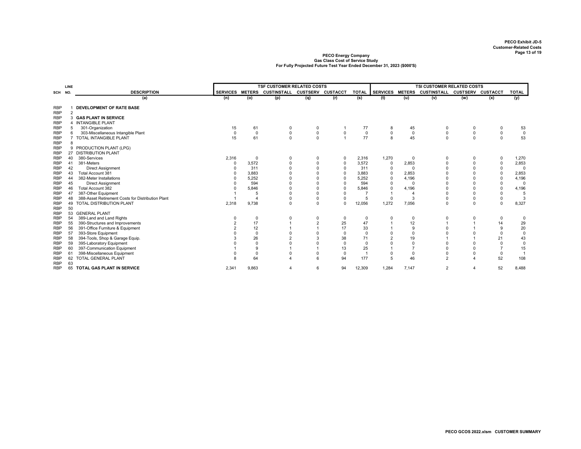|                          | LINE           |                                                            |                 |                     | <b>TSF CUSTOMER RELATED COSTS</b> |                |          |              | <b>TSI CUSTOMER RELATED COSTS</b> |                |                               |                      |                               |                      |  |  |
|--------------------------|----------------|------------------------------------------------------------|-----------------|---------------------|-----------------------------------|----------------|----------|--------------|-----------------------------------|----------------|-------------------------------|----------------------|-------------------------------|----------------------|--|--|
| SCH                      | NO.            | <b>DESCRIPTION</b>                                         | <b>SERVICES</b> | <b>METERS</b>       | CUSTINSTALL CUSTSERV CUSTACCT     |                |          | <b>TOTAL</b> | <b>SERVICES</b>                   | <b>METERS</b>  | CUSTINSTALL CUSTSERV CUSTACCT |                      |                               | <b>TOTAL</b>         |  |  |
|                          |                | (a)                                                        | (n)             | (o)                 | (p)                               | (q)            | (r)      | (s)          | (t)                               | (u)            | (v)                           | (w)                  | (x)                           | (y)                  |  |  |
| <b>RBP</b>               |                | <b>DEVELOPMENT OF RATE BASE</b>                            |                 |                     |                                   |                |          |              |                                   |                |                               |                      |                               |                      |  |  |
| <b>RBP</b>               | $\overline{2}$ |                                                            |                 |                     |                                   |                |          |              |                                   |                |                               |                      |                               |                      |  |  |
| <b>RBP</b>               |                | 3 GAS PLANT IN SERVICE                                     |                 |                     |                                   |                |          |              |                                   |                |                               |                      |                               |                      |  |  |
| <b>RBP</b>               |                | 4 INTANGIBLE PLANT                                         |                 |                     |                                   |                |          |              |                                   |                |                               |                      |                               |                      |  |  |
| RBP                      |                | 301-Organization                                           | 15              | 61                  | 0                                 | 0              |          | 77           | 8                                 | 45             | 0                             | 0                    | 0                             | 53                   |  |  |
| <b>RBP</b>               | $\overline{7}$ | 303-Miscellaneous Intangible Plant                         | $\mathbf 0$     | $\mathbf 0$         | $\mathbf 0$                       | $\mathsf 0$    | 0        | $\mathbf 0$  | $\mathbf 0$                       | $\mathbf 0$    | $\mathsf 0$                   | 0                    | $\mathsf 0$                   | $\pmb{0}$            |  |  |
| <b>RBP</b>               |                | TOTAL INTANGIBLE PLANT                                     | 15              | 61                  | $\mathbf 0$                       | $\mathbf 0$    |          | 77           | 8                                 | 45             | $\mathbf 0$                   | $\mathbf 0$          | $\mathbf 0$                   | 53                   |  |  |
| <b>RBP</b><br><b>RBP</b> | 8              | 9 PRODUCTION PLANT (LPG)                                   |                 |                     |                                   |                |          |              |                                   |                |                               |                      |                               |                      |  |  |
|                          |                | 27 DISTRIBUTION PLANT                                      |                 |                     |                                   |                |          |              |                                   |                |                               |                      |                               |                      |  |  |
| RBP<br>RBP               | 40             | 380-Services                                               | 2,316           | $\overline{0}$      | 0                                 | 0              | 0        | 2,316        | 1,270                             | 0              | 0                             | $\mathbf 0$          | 0                             | 1,270                |  |  |
| <b>RBP</b>               | 41             | 381-Meters                                                 | $\Omega$        | 3,572               |                                   | $\overline{0}$ | 0        | 3,572        | 0                                 | 2,853          | $\mathbf 0$                   | $\Omega$             | $\pmb{0}$                     | 2,853                |  |  |
| <b>RBP</b>               | 42             | <b>Direct Assignment</b>                                   |                 | 311                 |                                   |                |          | 311          | $\mathbf 0$                       | $\Omega$       | $\Omega$                      |                      | 0                             | $\overline{0}$       |  |  |
| <b>RBP</b>               |                | Total Account 381                                          |                 | 3,883               |                                   |                |          | 3,883        | $\mathbf 0$                       | 2,853          |                               |                      | 0                             | 2,853                |  |  |
| <b>RBP</b>               | 44             | 382-Meter Installations                                    |                 | 5,252               |                                   |                |          | 5,252        | $\mathbf 0$                       | 4,196          |                               |                      | $\mathbf 0$                   | 4,196                |  |  |
| <b>RBP</b>               | 45             | <b>Direct Assignment</b>                                   |                 | 594                 |                                   |                |          | 594          | $\Omega$                          | $\Omega$       | $\Omega$                      |                      | 0                             | $\overline{0}$       |  |  |
| <b>RBP</b>               | 46             | Total Account 382                                          |                 | 5,846               |                                   | $\Omega$       |          | 5,846        | $\Omega$                          | 4,196          | $\Omega$                      | $\Omega$             | $\mathbf 0$                   | 4,196                |  |  |
| <b>RBP</b>               | 47             | 387-Other Equipment                                        |                 | 5                   |                                   |                |          |              |                                   | $\overline{4}$ | <sup>0</sup>                  | $\Omega$             | $\mathbf 0$                   | 5                    |  |  |
| <b>RBP</b>               | 48             | 388-Asset Retirement Costs for Distribution Plant          |                 |                     |                                   | 0              |          | 5            | $\Omega$                          | 3              | 0                             | $\mathbf 0$          | $\pmb{0}$                     | 3                    |  |  |
| <b>RBP</b>               |                | 49 TOTAL DISTRIBUTION PLANT                                | 2,318           | 9,738               | $\Omega$                          | $\mathbf 0$    | $\Omega$ | 12,056       | 1,272                             | 7,056          | 0                             | $\Omega$             | $\mathbf 0$                   | 8,327                |  |  |
| <b>RBP</b>               | 50             |                                                            |                 |                     |                                   |                |          |              |                                   |                |                               |                      |                               |                      |  |  |
| <b>RBP</b>               |                | 53 GENERAL PLANT                                           |                 |                     |                                   |                |          |              |                                   |                |                               |                      |                               |                      |  |  |
| <b>RBP</b>               | 54             | 389-Land and Land Rights                                   |                 | $\mathbf 0$         | $\Omega$                          | 0              | 0        | 0            | $\Omega$                          | $\mathbf 0$    | 0                             | 0                    | 0                             | 0                    |  |  |
| <b>RBP</b>               | 55             | 390-Structures and Improvements                            |                 | 17                  |                                   | $\overline{2}$ | 25       | 47           |                                   | 12             |                               |                      | 14                            | 29                   |  |  |
| <b>RBP</b>               | 56             | 391-Office Furniture & Equipment                           |                 | 12                  |                                   |                | 17       | 33           |                                   | 9              | $\Omega$                      |                      | 9                             | 20                   |  |  |
| <b>RBP</b>               | 57             | 393-Store Equipment                                        |                 | $\mathbf 0$         |                                   |                | $\Omega$ | $\Omega$     |                                   |                |                               |                      | $\mathbf 0$                   | $\mathsf 0$          |  |  |
| <b>RBP</b>               | 58             | 394-Tools, Shop & Garage Equip.                            |                 | 26                  |                                   |                | 38       | 71           |                                   | 19             |                               |                      | 21                            | 43                   |  |  |
| <b>RBP</b>               | 59             | 395-Laboratory Equipment                                   |                 | $\overline{0}$<br>9 |                                   |                | $\Omega$ | $\Omega$     |                                   | $\Omega$       | $\Omega$<br>$\Omega$          | $\Omega$<br>$\Omega$ | $\mathbf 0$<br>$\overline{7}$ | $\mathsf 0$          |  |  |
| <b>RBP</b>               | 60<br>61       | 397-Communication Equipment<br>398-Miscellaneous Equipment |                 | $\mathbf 0$         |                                   |                | 13<br>0  | 25           |                                   | $^{\circ}$     | 0                             | $\mathbf 0$          | 0                             | 15<br>$\overline{1}$ |  |  |
| <b>RBP</b><br><b>RBP</b> |                | 62 TOTAL GENERAL PLANT                                     |                 | 64                  |                                   | 6              | 94       | 177          |                                   | 46             | $\overline{2}$                |                      | 52                            | 108                  |  |  |
| <b>RBP</b>               | 63             |                                                            |                 |                     |                                   |                |          |              |                                   |                |                               |                      |                               |                      |  |  |
| <b>RBP</b>               |                | 65 TOTAL GAS PLANT IN SERVICE                              | 2,341           | 9,863               | 4                                 | 6              | 94       | 12,309       | 1,284                             | 7,147          | 2                             | $\overline{4}$       | 52                            | 8,488                |  |  |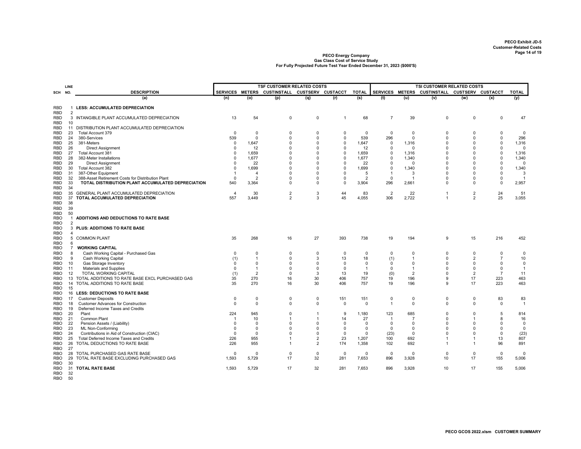|                          | LINE                |                                                                             |                    |                            | <b>TSF CUSTOMER RELATED COSTS</b>             |                            |                 |                    |                               | <b>TSI CUSTOMER RELATED COSTS</b> |                               |                         |                    |                       |  |  |
|--------------------------|---------------------|-----------------------------------------------------------------------------|--------------------|----------------------------|-----------------------------------------------|----------------------------|-----------------|--------------------|-------------------------------|-----------------------------------|-------------------------------|-------------------------|--------------------|-----------------------|--|--|
| SCH                      | NO.                 | <b>DESCRIPTION</b>                                                          |                    |                            | SERVICES METERS CUSTINSTALL CUSTSERV CUSTACCT |                            |                 | <b>TOTAL</b>       | SERVICES METERS               |                                   | CUSTINSTALL CUSTSERV CUSTACCT |                         |                    | <b>TOTAL</b>          |  |  |
|                          |                     | (a)                                                                         | (n)                | (o)                        | (p)                                           | (q)                        | (r)             | (s)                | (t)                           | (u)                               | (v)                           | (w)                     | (x)                | (y)                   |  |  |
| <b>RBD</b>               |                     | <b>LESS: ACCUMULATED DEPRECIATION</b>                                       |                    |                            |                                               |                            |                 |                    |                               |                                   |                               |                         |                    |                       |  |  |
| <b>RBD</b>               | $\overline{2}$      |                                                                             |                    |                            |                                               |                            |                 |                    |                               |                                   |                               |                         |                    |                       |  |  |
| RBD                      |                     | 3 INTANGIBLE PLANT ACCUMULATED DEPRECIATION                                 | 13                 | 54                         | $\mathbf 0$                                   | $\mathbf 0$                | $\mathbf{1}$    | 68                 | $\overline{7}$                | 39                                | 0                             | $\mathbf 0$             | $\mathbf 0$        | 47                    |  |  |
| <b>RBD</b>               | 10                  |                                                                             |                    |                            |                                               |                            |                 |                    |                               |                                   |                               |                         |                    |                       |  |  |
| RBD                      |                     | 11 DISTRIBUTION PLANT ACCUMULATED DEPRECIATION                              |                    |                            |                                               |                            |                 |                    |                               |                                   |                               |                         |                    |                       |  |  |
| RBD<br>RBD               | 23<br>24            | Total Account 379<br>380-Services                                           | $\mathbf 0$<br>539 | 0<br>$\mathbf 0$           | 0<br>$\Omega$                                 | $\mathbf 0$<br>$\mathbf 0$ | 0<br>$\Omega$   | $\mathbf 0$<br>539 | $\mathbf 0$<br>296            | $\mathbf 0$<br>$\mathbf 0$        | 0<br>$\Omega$                 | $\Omega$<br>$\Omega$    | 0<br>$\mathsf 0$   | $\overline{0}$<br>296 |  |  |
| RBD                      | 25                  | 381-Meters                                                                  | $\Omega$           | 1,647                      | 0                                             | $\Omega$                   | $\Omega$        | 1,647              | 0                             | 1,316                             | $\Omega$                      | $\Omega$                | $\pmb{0}$          | 1,316                 |  |  |
| <b>RBD</b>               | 26                  | <b>Direct Assignment</b>                                                    | $\Omega$           | 12                         | $\Omega$                                      | $\Omega$                   | $\Omega$        | 12                 | $\Omega$                      | $\Omega$                          | $\Omega$                      | $\Omega$                | $\mathbf 0$        | $\Omega$              |  |  |
| <b>RBD</b>               | 27                  | Total Account 381                                                           | $\Omega$           | 1,659                      | $\Omega$                                      | $\Omega$                   | $\Omega$        | 1,659              | $\Omega$                      | 1,316                             | $\Omega$                      | $\Omega$                | $\mathsf 0$        | 1,316                 |  |  |
| <b>RBD</b>               | 28                  | 382-Meter Installations                                                     | $\Omega$           | 1,677                      | $\Omega$                                      | $\Omega$                   | $\Omega$        | 1,677              | $\Omega$                      | 1,340                             | $\Omega$                      | $\Omega$                | $\mathbf 0$        | 1,340                 |  |  |
| <b>RBD</b>               | 29                  | <b>Direct Assignment</b>                                                    | $\Omega$           | 22                         | $\Omega$                                      | $\Omega$                   | $\Omega$        | 22                 | $\Omega$                      | $\Omega$                          | $\Omega$                      | $\Omega$                | $\mathsf 0$        | $\Omega$              |  |  |
| RBD                      | 30                  | Total Account 382                                                           | $\Omega$           | 1,699                      | $\Omega$                                      | $\Omega$                   | $\Omega$        | 1,699              | $\Omega$                      | 1,340                             | $\Omega$                      | $\Omega$                | $\mathbf 0$        | 1,340                 |  |  |
| <b>RBD</b>               | 31                  | 387-Other Equipment                                                         | $\overline{1}$     | $\overline{4}$             | $\Omega$                                      | $\Omega$                   | $\Omega$        | 5                  |                               | 3                                 | 0                             | $\Omega$                | $\mathbf 0$        | 3                     |  |  |
| <b>RBD</b>               | 32                  | 388-Asset Retirement Costs for Distribution Plant                           | $\mathbf 0$        | $\overline{2}$             | $\Omega$                                      | $\Omega$                   | $\Omega$        | $\overline{2}$     | $\mathbf 0$                   | $\overline{1}$                    | 0                             | $\Omega$                | $\mathbf 0$        | $\overline{1}$        |  |  |
| RBD                      | 33<br>34            | TOTAL DISTRIBUTION PLANT ACCUMULATED DEPRECIATION                           | 540                | 3,364                      | 0                                             | $\Omega$                   | $\Omega$        | 3,904              | 296                           | 2,661                             | 0                             | $\Omega$                | $\mathsf 0$        | 2,957                 |  |  |
| RBD<br><b>RBD</b>        | 35                  | GENERAL PLANT ACCUMULATED DEPRECIATION                                      | $\overline{4}$     | 30                         | $\overline{2}$                                | 3                          | 44              | 83                 | $\overline{2}$                | 22                                | $\overline{1}$                | $\overline{2}$          | 24                 | 51                    |  |  |
| <b>RBD</b>               | 37                  | TOTAL ACCUMULATED DEPRECIATION                                              | 557                | 3,449                      | $\overline{2}$                                | 3                          | 45              | 4,055              | 306                           | 2,722                             | $\overline{1}$                | $\overline{2}$          | 25                 | 3,055                 |  |  |
| <b>RBD</b>               | 38                  |                                                                             |                    |                            |                                               |                            |                 |                    |                               |                                   |                               |                         |                    |                       |  |  |
| <b>RBD</b>               | 39                  |                                                                             |                    |                            |                                               |                            |                 |                    |                               |                                   |                               |                         |                    |                       |  |  |
| RBD                      | 50                  |                                                                             |                    |                            |                                               |                            |                 |                    |                               |                                   |                               |                         |                    |                       |  |  |
| <b>RBO</b>               |                     | 1 ADDITIONS AND DEDUCTIONS TO RATE BASE                                     |                    |                            |                                               |                            |                 |                    |                               |                                   |                               |                         |                    |                       |  |  |
| <b>RBO</b>               | 2                   |                                                                             |                    |                            |                                               |                            |                 |                    |                               |                                   |                               |                         |                    |                       |  |  |
| <b>RBO</b>               | 3                   | PLUS: ADDITIONS TO RATE BASE                                                |                    |                            |                                               |                            |                 |                    |                               |                                   |                               |                         |                    |                       |  |  |
| <b>RBO</b>               | $\overline{4}$      |                                                                             |                    |                            |                                               |                            |                 |                    |                               |                                   |                               |                         |                    |                       |  |  |
| <b>RBO</b>               |                     | 5 COMMON PLANT                                                              | 35                 | 268                        | 16                                            | 27                         | 393             | 738                | 19                            | 194                               | 9                             | 15                      | 216                | 452                   |  |  |
| <b>RBO</b><br><b>RBO</b> | 6<br>$\overline{7}$ | <b>WORKING CAPITAL</b>                                                      |                    |                            |                                               |                            |                 |                    |                               |                                   |                               |                         |                    |                       |  |  |
| <b>RBO</b>               | 8                   | Cash Working Capital - Purchased Gas                                        | $\mathbf 0$        | $\mathbf 0$                | $\Omega$                                      | $\Omega$                   | $\Omega$        | $\mathbf 0$        | $\mathbf 0$                   | $\Omega$                          | $\mathbf 0$                   | $\Omega$                | $\mathbf 0$        | $\mathbf 0$           |  |  |
| <b>RBO</b>               | $\mathbf{Q}$        | Cash Working Capital                                                        | (1)                | $\overline{1}$             | $\Omega$                                      | 3                          | 13              | 18                 | (1)                           | $\overline{1}$                    | $\Omega$                      | $\mathfrak{p}$          | $\overline{7}$     | 10                    |  |  |
| RBO                      | 10                  | Gas Storage Inventory                                                       | $\Omega$           | $\Omega$                   | $\Omega$                                      | $\Omega$                   | $\Omega$        | $\Omega$           | $\Omega$                      | $\Omega$                          | $\Omega$                      | $\Omega$                | $\Omega$           | $\mathbf 0$           |  |  |
| <b>RBO</b>               | 11                  | <b>Materials and Supplies</b>                                               | $\Omega$           | $\overline{1}$             | $\Omega$                                      | $\Omega$                   | $\Omega$        | $\mathbf{1}$       | $\Omega$                      | $\overline{1}$                    | $\Omega$                      | $\Omega$                | $\mathbf 0$        | $\overline{1}$        |  |  |
| RBO                      | 12                  | <b>TOTAL WORKING CAPITAL</b>                                                | (1)                | $\overline{2}$             | $\mathbf 0$                                   | 3                          | 13              | 19                 | (0)                           | $\overline{2}$                    | $\mathbf 0$                   | $\overline{2}$          | $\overline{7}$     | 11                    |  |  |
| <b>RBO</b>               |                     | 13 TOTAL ADDITIONS TO RATE BASE EXCL PURCHASED GAS                          | 35                 | 270                        | 16                                            | 30                         | 406             | 757                | 19                            | 196                               | 9                             | 17                      | 223                | 463                   |  |  |
| <b>RBO</b>               | 14                  | TOTAL ADDITIONS TO RATE BASE                                                | 35                 | 270                        | 16                                            | 30                         | 406             | 757                | 19                            | 196                               | 9                             | 17                      | 223                | 463                   |  |  |
| <b>RBO</b>               | 15                  |                                                                             |                    |                            |                                               |                            |                 |                    |                               |                                   |                               |                         |                    |                       |  |  |
| RBO                      |                     | 16 LESS: DEDUCTIONS TO RATE BASE                                            |                    |                            |                                               |                            |                 |                    |                               |                                   |                               |                         |                    |                       |  |  |
| <b>RBO</b><br><b>RBO</b> | 17<br>18            | <b>Customer Deposits</b><br><b>Customer Advances for Construction</b>       | 0<br>$\Omega$      | $\mathbf 0$<br>$\mathbf 0$ | $\mathsf 0$<br>0                              | $\mathsf 0$<br>$\mathbf 0$ | 151<br>0        | 151<br>$\Omega$    | $\mathbf 0$<br>$\overline{1}$ | $\mathbf 0$<br>$\Omega$           | 0<br>$\mathbf 0$              | $\mathbf 0$<br>$\Omega$ | 83<br>$\mathbf 0$  | 83<br>$\overline{1}$  |  |  |
| RBO                      | 19                  | Deferred Income Taxes and Credits                                           |                    |                            |                                               |                            |                 |                    |                               |                                   |                               |                         |                    |                       |  |  |
| RBO                      | 20                  | Plant                                                                       | 224                | 945                        | $\Omega$                                      | $\overline{1}$             | 9               | 1,180              | 123                           | 685                               | $\Omega$                      | $\Omega$                | 5                  | 814                   |  |  |
| RBO                      | 21                  | <b>Common Plant</b>                                                         | $\overline{1}$     | 10                         | 1                                             | $\overline{1}$             | 14              | 27                 | $\overline{1}$                | $\overline{7}$                    | 0                             | $\overline{1}$          | 8                  | 16                    |  |  |
| RBO.                     | 22                  | Pension Assets / (Liability)                                                | $\mathbf 0$        | $\mathbf 0$                | $\Omega$                                      | $\mathbf 0$                | $\Omega$        | $\mathbf 0$        | $\mathbf 0$                   | $\mathbf 0$                       | $\mathbf 0$                   | $\Omega$                | $\mathbf 0$        | $\mathbf 0$           |  |  |
| RBO                      | 23                  | ML Non-Conforming                                                           | $\mathbf 0$        | $\mathbf 0$                | $\Omega$                                      | $\mathsf 0$                | 0               | $\mathbf 0$        | $\mathbf 0$                   | $\mathbf 0$                       | $\mathbf 0$                   | $\Omega$                | $\mathsf 0$        | $\overline{0}$        |  |  |
| RBO                      | 24                  | Contributions in Aid of Construction (CIAC)                                 | $\Omega$           | $\mathbf 0$                | $\Omega$                                      | $\mathbf 0$                | $\Omega$        | $\Omega$           | (23)                          | $\mathbf 0$                       | $\Omega$                      | $\Omega$                | $\Omega$           | (23)                  |  |  |
| RBO                      | 25                  | Total Deferred Income Taxes and Credits                                     | 226                | 955                        | 1                                             | $\sqrt{2}$                 | 23              | 1,207              | 100                           | 692                               | $\overline{1}$                | $\overline{1}$          | 13                 | 807                   |  |  |
| <b>RBO</b>               | 26                  | TOTAL DEDUCTIONS TO RATE BASE                                               | 226                | 955                        | $\overline{1}$                                | $\overline{2}$             | 174             | 1,358              | 102                           | 692                               | $\mathbf{1}$                  | $\overline{1}$          | 96                 | 891                   |  |  |
| RBO                      | 27                  |                                                                             |                    |                            |                                               |                            |                 |                    |                               |                                   |                               |                         |                    |                       |  |  |
| <b>RBO</b><br><b>RBO</b> | 28                  | TOTAL PURCHASED GAS RATE BASE<br>29 TOTAL RATE BASE EXCLUDING PURCHASED GAS | $\Omega$<br>1,593  | $\Omega$<br>5,729          | $\mathbf 0$<br>17                             | $\Omega$<br>32             | $\Omega$<br>281 | $\Omega$<br>7,653  | $\mathbf 0$<br>896            | 0<br>3,928                        | $\Omega$<br>10                | $\Omega$<br>17          | $\mathbf 0$<br>155 | $\Omega$<br>5,006     |  |  |
| <b>RBO</b>               | 30                  |                                                                             |                    |                            |                                               |                            |                 |                    |                               |                                   |                               |                         |                    |                       |  |  |
| RBO                      |                     | 31 TOTAL RATE BASE                                                          | 1,593              | 5,729                      | 17                                            | 32                         | 281             | 7,653              | 896                           | 3,928                             | 10                            | 17                      | 155                | 5,006                 |  |  |
| RBO                      | 32                  |                                                                             |                    |                            |                                               |                            |                 |                    |                               |                                   |                               |                         |                    |                       |  |  |
| RBO                      | 50                  |                                                                             |                    |                            |                                               |                            |                 |                    |                               |                                   |                               |                         |                    |                       |  |  |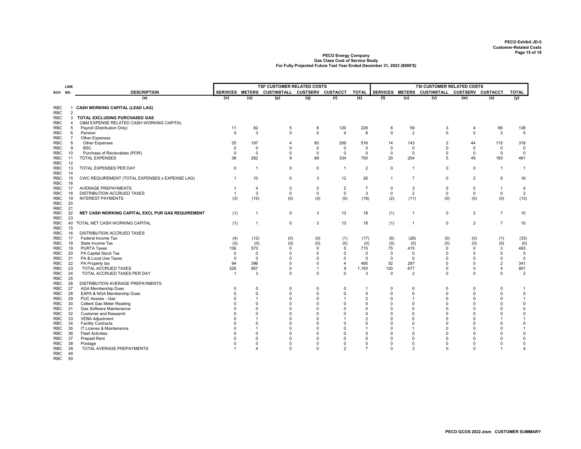|            |                |                                                   |                |                                   |                                               |              |                | TSI CUSTOMER RELATED COSTS |             |                                               |                |                |                |                |
|------------|----------------|---------------------------------------------------|----------------|-----------------------------------|-----------------------------------------------|--------------|----------------|----------------------------|-------------|-----------------------------------------------|----------------|----------------|----------------|----------------|
|            | LINE           |                                                   |                | <b>TSF CUSTOMER RELATED COSTS</b> |                                               |              |                |                            |             | SERVICES METERS CUSTINSTALL CUSTSERV CUSTACCT |                |                |                |                |
| SCH NO     |                | <b>DESCRIPTION</b>                                |                |                                   | SERVICES METERS CUSTINSTALL CUSTSERV CUSTACCT |              |                | <b>TOTAL</b>               |             |                                               |                |                |                | <b>TOTAL</b>   |
|            |                | (a)                                               | (n)            | (o)                               | (p)                                           | (q)          | (r)            | (s)                        | (t)         | (u)                                           | (v)            | (w)            | (x)            | (y)            |
| <b>RBC</b> | -1             | <b>CASH WORKING CAPITAL (LEAD LAG)</b>            |                |                                   |                                               |              |                |                            |             |                                               |                |                |                |                |
| <b>RBC</b> | $\overline{c}$ |                                                   |                |                                   |                                               |              |                |                            |             |                                               |                |                |                |                |
| <b>RBC</b> | 3              | TOTAL EXCLUDING PURCHASED GAS                     |                |                                   |                                               |              |                |                            |             |                                               |                |                |                |                |
| <b>RBC</b> | $\overline{a}$ | O&M EXPENSE RELATED CASH WORKING CAPITAL          |                |                                   |                                               |              |                |                            |             |                                               |                |                |                |                |
| RBC        | 5              | Payroll (Distribution Only)                       | 11             | 82                                | 5                                             | 8            | 120            | 226                        | 6           | 59                                            | 3              | 4              | 66             | 138            |
|            |                |                                                   |                | 3                                 | $\Omega$                                      | $\mathbf 0$  | $\overline{4}$ |                            |             |                                               | $\mathbf 0$    |                |                |                |
| RBC        | 6              | Pension                                           | $\mathbf 0$    |                                   |                                               |              |                | 8                          | $\Omega$    | $\overline{2}$                                |                | $\mathbf 0$    | $\overline{2}$ | 5              |
| <b>RBC</b> | $\overline{7}$ | <b>Other Expenses</b>                             |                |                                   |                                               |              |                |                            |             |                                               |                |                |                |                |
| RBC        | 8              | Other Expenses                                    | 25             | 197                               | 4                                             | 80           | 209            | 516                        | 14          | 143                                           | $\overline{2}$ | 44             | 115            | 318            |
| RBC        | 9              | <b>BSC</b>                                        | $\mathbf 0$    | $\mathbf 0$                       | $\Omega$                                      | $^{\circ}$   | $\mathbf 0$    | $\mathbf 0$                | $\mathbf 0$ | $\mathbf 0$                                   | $\mathbf 0$    | $\mathbf 0$    | 0              | $\overline{0}$ |
| <b>RBC</b> | 10             | Purchase of Recievables (POR)                     | 0              | $\mathbf 0$                       | 0                                             | $^{\circ}$   | $\Omega$       | 0                          | 0           | 0                                             | 0              | $\mathbf 0$    | 0              | $\overline{0}$ |
| <b>RBC</b> | 11             | <b>TOTAL EXPENSES</b>                             | 36             | 282                               | 9                                             | 89           | 334            | 750                        | 20          | 204                                           | 5              | 49             | 183            | 461            |
| <b>RBC</b> | 12             |                                                   |                |                                   |                                               |              |                |                            |             |                                               |                |                |                |                |
| RBC        | 13             | TOTAL EXPENSES PER DAY                            | $\mathbf 0$    | $\overline{1}$                    | 0                                             | $\Omega$     | $\overline{1}$ | $\overline{2}$             | $\mathbf 0$ | $\overline{1}$                                | 0              | 0              | $\mathbf{1}$   | $\overline{1}$ |
| <b>RBC</b> | 14             |                                                   |                |                                   |                                               |              |                |                            |             |                                               |                |                |                |                |
| RBC        | 15             | CWC REQUIREMENT (TOTAL EXPENSES x EXPENSE LAG)    | $\overline{1}$ | 10                                | $\Omega$                                      | 3            | 12             | 26                         |             | $\overline{7}$                                | $\mathbf 0$    | $\overline{2}$ | 6              | 16             |
| <b>RBC</b> | 16             |                                                   |                |                                   |                                               |              |                |                            |             |                                               |                |                |                |                |
| <b>RBC</b> | 17             | <b>AVERAGE PREPAYMENTS</b>                        | -1             | $\overline{4}$                    | $\mathbf 0$                                   | $\mathbf 0$  | $\overline{2}$ | $\overline{7}$             | 0           | 3                                             | $\mathbf 0$    | $\mathbf 0$    | $\overline{1}$ | 4              |
| RBC        | 18             | DISTRIBUTION ACCRUED TAXES                        | $\overline{1}$ | 3                                 | $\mathsf{O}$                                  | 0            | 0              | 3                          | 0           | $\overline{2}$                                | $\mathsf 0$    | $\mathbf 0$    | $\mathbf 0$    | $\overline{2}$ |
| <b>RBC</b> | 19             | <b>INTEREST PAYMENTS</b>                          | (3)            | (15)                              | (0)                                           | (0)          | (0)            | (18)                       | (2)         | (11)                                          | (0)            | (0)            | (0)            | (13)           |
| <b>RBC</b> | 20             |                                                   |                |                                   |                                               |              |                |                            |             |                                               |                |                |                |                |
| RBC        | 21             |                                                   |                |                                   |                                               |              |                |                            |             |                                               |                |                |                |                |
| RBC        | 22             | NET CASH WORKING CAPITAL EXCL PUR GAS REQUIREMENT | (1)            | $\mathbf{1}$                      | 0                                             | 3            | 13             | 18                         | (1)         | $\overline{1}$                                | 0              | $\overline{c}$ | $\overline{7}$ | 10             |
| <b>RBC</b> | 23             |                                                   |                |                                   |                                               |              |                |                            |             |                                               |                |                |                |                |
|            | 40             |                                                   |                | $\overline{1}$                    |                                               | 3            |                |                            |             |                                               | 0              | $\overline{2}$ | $\overline{7}$ |                |
| <b>RBC</b> |                | TOTAL NET CASH WORKING CAPITAL                    | (1)            |                                   | 0                                             |              | 13             | 18                         | (1)         | $\overline{1}$                                |                |                |                | 10             |
| RBC        | 15             |                                                   |                |                                   |                                               |              |                |                            |             |                                               |                |                |                |                |
| <b>RBC</b> | 16             | DISTRIBUTION ACCRUED TAXES                        |                |                                   |                                               |              |                |                            |             |                                               |                |                |                |                |
| <b>RBC</b> | 17             | Federal Income Tax                                | (4)            | (12)                              | (0)                                           | (0)          | (1)            | (17)                       | (6)         | (26)                                          | (0)            | (0)            | (1)            | (33)           |
| <b>RBC</b> | 18             | State Income Tax                                  | (0)            | (0)                               | (0)                                           | (0)          | (0)            | (0)                        | (0)         | (0)                                           | (0)            | (0)            | (0)            | (0)            |
| RBC        | 19             | <b>PURTA Taxes</b>                                | 136            | 573                               | 0                                             | $\Omega$     | 5              | 715                        | 75          | 415                                           | 0              | $\Omega$       | 3              | 493            |
| <b>RBC</b> | 20             | PA Capital Stock Tax                              | $\mathbf{0}$   | $\mathbf 0$                       | 0                                             | $\Omega$     | $\Omega$       | 0                          | 0           | 0                                             | $\mathbf 0$    | 0              | 0              | $\mathbf 0$    |
| RBC        | 21             | PA & Local Use Taxes                              | $\Omega$       | $\Omega$                          | $\Omega$                                      | $\Omega$     | $\Omega$       | $\Omega$                   | $\mathbf 0$ | $\Omega$                                      | $\Omega$       | $\Omega$       | $\mathbf 0$    | $\mathbf{0}$   |
| RBC        | 22             | PA Property tax                                   | 94             | 396                               | $\Omega$                                      | $\Omega$     | $\overline{4}$ | 495                        | 52          | 287                                           | $\mathbf 0$    | $\Omega$       | $\overline{2}$ | 341            |
| <b>RBC</b> | 23             | TOTAL ACCRUED TAXES                               | 226            | 957                               | 0                                             | $\mathbf{1}$ | 9              | 1,193                      | 120         | 677                                           | $\mathbf 0$    | $\Omega$       | $\overline{4}$ | 801            |
| RBC        | 24             | TOTAL ACCRUED TAXES PER DAY                       | $\overline{1}$ | 3                                 | $\Omega$                                      | $\mathbf 0$  | $\Omega$       | 3                          | 0           | $\overline{2}$                                | $\mathbf 0$    | $\mathbf 0$    | $\mathbf 0$    | $\overline{2}$ |
| <b>RBC</b> | 25             |                                                   |                |                                   |                                               |              |                |                            |             |                                               |                |                |                |                |
| <b>RBC</b> | 26             | DISTRIBUTION AVERAGE PREPAYMENTS                  |                |                                   |                                               |              |                |                            |             |                                               |                |                |                |                |
| RBC        | 27             | <b>AGA Membership Dues</b>                        | 0              | $\overline{0}$                    | 0                                             | $\Omega$     | $\Omega$       | -1                         | $\Omega$    | $\Omega$                                      | 0              | $\Omega$       | 0              | $\overline{1}$ |
| RBC        | 28             | EAPA & NGA Membership Dues                        | $\Omega$       | $\overline{0}$                    | 0                                             | 0            | 0              | 0                          | $\Omega$    | 0                                             | $\mathbf 0$    | $\Omega$       | $\mathbf 0$    | $\mathsf 0$    |
| RBC        | 29             | PUC Assess - Gas                                  | $\Omega$       |                                   | $\Omega$                                      | $\Omega$     | 1              | $\overline{2}$             |             | 1                                             | $\Omega$       | $\Omega$       | $\mathbf 0$    | $\overline{1}$ |
| RBC        | 30             | Cellent Gas Meter Reading                         | $\Omega$       | $\Omega$                          | $\Omega$                                      | $\Omega$     | $\Omega$       | $\Omega$                   |             | $\Omega$                                      | $\Omega$       | $\Omega$       | $\Omega$       | $\pmb{0}$      |
| RBC        | 31             | Gas Software Maintenance                          | $\Omega$       | $\Omega$                          | $\Omega$                                      | $\Omega$     | $\Omega$       | $\Omega$                   | $\Omega$    | $\Omega$                                      | $\Omega$       | $\Omega$       | $\mathbf 0$    | $\mathsf 0$    |
| <b>RBC</b> | 32             | <b>Customer and Research</b>                      | $\Omega$       | $\Omega$                          | $\Omega$                                      | $\Omega$     | U              | $\Omega$                   |             | $\Omega$                                      | $\Omega$       | $\Omega$       | $\mathbf 0$    | $\mathsf 0$    |
|            |                |                                                   | $\Omega$       |                                   | $\Omega$                                      | $\Omega$     |                | $\overline{c}$             |             | $\Omega$                                      | $\Omega$       | $\Omega$       | $\overline{1}$ | $\overline{1}$ |
| <b>RBC</b> | 33             | <b>VEBA Adjustment</b>                            |                |                                   |                                               |              |                |                            |             |                                               |                |                |                |                |
| RBC        | 34             | <b>Facility Contracts</b>                         | $\Omega$       | $\Omega$                          | $\Omega$                                      | $\Omega$     | $\Omega$       | $\Omega$                   |             | $\Omega$                                      | $\Omega$       | $\Omega$       | $\mathbf 0$    | $\mathsf 0$    |
| RBC        | 35             | IT License & Maintenance                          | $\Omega$       | $\overline{1}$                    | $\Omega$                                      | $\Omega$     | $\Omega$       |                            |             | 1                                             | $\Omega$       | $\Omega$       | 0              | $\overline{1}$ |
| <b>RBC</b> | 36             | <b>Fleet Activities</b>                           | $\Omega$       | $\Omega$                          | $\Omega$                                      | $\Omega$     | $\Omega$       | $\Omega$                   |             | $\Omega$                                      | $\Omega$       | $\Omega$       | $\Omega$       | 0              |
| RBC        | 37             | <b>Prepaid Rent</b>                               | $\Omega$       | $\Omega$                          | $\Omega$                                      | $\Omega$     | $\Omega$       | $\Omega$                   | $\Omega$    | $\Omega$                                      | $\Omega$       | $\Omega$       | $\mathbf 0$    | $\mathsf 0$    |
| RBC        | 38             | Postage                                           | $\Omega$       | $\Omega$                          | 0                                             | $\Omega$     | 0              | 0                          | $\Omega$    | $\Omega$                                      | 0              | $\Omega$       | 0              | $\mathsf 0$    |
| <b>RBC</b> | 39             | TOTAL AVERAGE PREPAYMENTS                         | $\overline{1}$ |                                   | $\Omega$                                      | $\Omega$     | $\overline{2}$ | $\overline{7}$             | $\Omega$    | 3                                             | $\mathbf 0$    | $\Omega$       | $\mathbf{1}$   | $\overline{4}$ |
| RBC        | 49             |                                                   |                |                                   |                                               |              |                |                            |             |                                               |                |                |                |                |
| RBC        | 50             |                                                   |                |                                   |                                               |              |                |                            |             |                                               |                |                |                |                |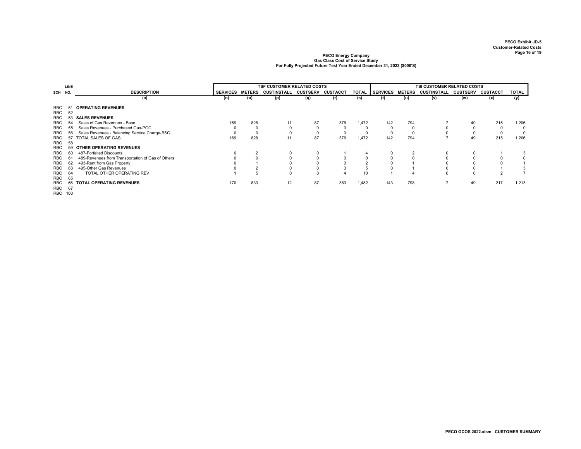|                                 | LINE     |                                                    |                 | <b>TSF CUSTOMER RELATED COSTS</b> |             |                 |                 |       |                 | TSI CUSTOMER RELATED COSTS |                    |                 |                |       |  |  |
|---------------------------------|----------|----------------------------------------------------|-----------------|-----------------------------------|-------------|-----------------|-----------------|-------|-----------------|----------------------------|--------------------|-----------------|----------------|-------|--|--|
| SCH NO.                         |          | <b>DESCRIPTION</b>                                 | <b>SERVICES</b> | <b>METERS</b>                     | CUSTINSTALL | <b>CUSTSERV</b> | <b>CUSTACCT</b> | TOTAL | <b>SERVICES</b> | <b>METERS</b>              | <b>CUSTINSTALL</b> | <b>CUSTSERV</b> | CUSTACCT       | TOTAL |  |  |
|                                 |          | (a)                                                | (n)             | (o)                               | (p)         | (q)             | (r)             | (s)   | (t)             | (u)                        | (v)                | (w)             | (x)            | (y)   |  |  |
| <b>RBC</b><br>RBC<br><b>RBC</b> | 52<br>53 | <b>OPERATING REVENUES</b><br><b>SALES REVENUES</b> |                 |                                   |             |                 |                 |       |                 |                            |                    |                 |                |       |  |  |
| <b>RBC</b>                      |          | Sales of Gas Revenues - Base                       | 169             | 828                               | 11          | 87              | 376             | 1,472 | 142             | 794                        |                    | 49              | 215            | 1,206 |  |  |
| <b>RBC</b>                      | 55       | Sales Revenues - Purchased Gas-PGC                 |                 | $\Omega$                          |             |                 |                 |       |                 | $\Omega$                   |                    | 0               | 0              | 0     |  |  |
| <b>RBC</b>                      |          | Sales Revenues - Balancing Service Charge-BSC      | $\Omega$        | $\Omega$                          |             |                 |                 |       |                 |                            |                    | 0               | 0              |       |  |  |
| RBC                             | 57       | TOTAL SALES OF GAS                                 | 169             | 828                               | 11          | 87              | 376             | 1,472 | 142             | 794                        |                    | 49              | 215            | 1,206 |  |  |
| RBC<br><b>RBC</b>               | 58<br>59 | OTHER OPERATING REVENUES                           |                 |                                   |             |                 |                 |       |                 |                            |                    |                 |                |       |  |  |
| <b>RBC</b>                      |          | 487-Forfeited Discounts                            |                 |                                   |             |                 |                 |       |                 | $\overline{2}$             |                    | 0               |                |       |  |  |
| RBC                             | 61       | 489-Revenues from Transportation of Gas of Others  |                 |                                   |             |                 |                 |       |                 |                            |                    |                 | 0              |       |  |  |
| <b>RBC</b>                      | 62       | 493-Rent from Gas Property                         |                 |                                   |             |                 |                 |       |                 |                            |                    |                 |                |       |  |  |
| <b>RBC</b>                      |          | 495-Other Gas Revenues                             |                 |                                   |             |                 |                 |       |                 |                            |                    |                 |                |       |  |  |
| RBC<br><b>RBC</b>               | 64<br>65 | TOTAL OTHER OPERATING REV                          |                 |                                   |             |                 |                 | 10    |                 |                            | $\Omega$           | $\Omega$        | $\overline{2}$ |       |  |  |
| <b>RBC</b><br>RBC<br>RBC 100    | 67       | TOTAL OPERATING REVENUES                           | 170             | 833                               | 12          | 87              | 380             | 1,482 | 143             | 798                        |                    | 49              | 217            | 1,213 |  |  |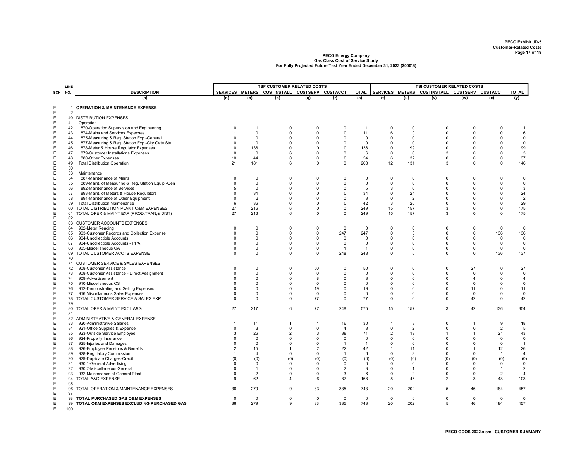|        | LINE     |                                                                                  |                            |                            | <b>TSF CUSTOMER RELATED COSTS</b>             |                            |                      |                   | TSI CUSTOMER RELATED COSTS |                      |                               |                      |                            |                          |  |
|--------|----------|----------------------------------------------------------------------------------|----------------------------|----------------------------|-----------------------------------------------|----------------------------|----------------------|-------------------|----------------------------|----------------------|-------------------------------|----------------------|----------------------------|--------------------------|--|
| SCH    | NO.      | <b>DESCRIPTION</b>                                                               |                            |                            | SERVICES METERS CUSTINSTALL CUSTSERV CUSTACCT |                            |                      | <b>TOTAL</b>      | SERVICES METERS            |                      | CUSTINSTALL CUSTSERV CUSTACCT |                      |                            | <b>TOTAL</b>             |  |
|        |          | (a)                                                                              | (n)                        | (o)                        | (p)                                           | (q)                        | (r)                  | (s)               | (t)                        | (u)                  | (v)                           | (w)                  | (x)                        | (y)                      |  |
| Е      |          | 1 OPERATION & MAINTENANCE EXPENSE                                                |                            |                            |                                               |                            |                      |                   |                            |                      |                               |                      |                            |                          |  |
| Е      | 2        |                                                                                  |                            |                            |                                               |                            |                      |                   |                            |                      |                               |                      |                            |                          |  |
| Е<br>E | 41       | 40 DISTRIBUTION EXPENSES<br>Operation                                            |                            |                            |                                               |                            |                      |                   |                            |                      |                               |                      |                            |                          |  |
| Е      | 42       | 870-Operation Supervision and Engineering                                        | 0                          | -1                         | 0                                             | 0                          | 0                    | -1                | 0                          | 0                    | 0                             | 0                    | 0                          | -1                       |  |
| Е      | 43       | 874-Mains and Services Expenses                                                  | 11                         | $\Omega$                   | $\mathbf 0$                                   | $\mathbf 0$                | 0                    | 11                | 6                          | $\mathbf 0$          | 0                             | $\Omega$             | $\mathbf 0$                | $\,6\,$                  |  |
| Е      | 44       | 875-Measuring & Reg. Station Exp.-General                                        | $\Omega$                   | $\overline{0}$             | 0                                             | $\overline{0}$             | 0                    | 0                 | $\Omega$                   | 0                    | 0                             | $\Omega$             | $\mathbf 0$                | $\boldsymbol{0}$         |  |
| Е      | 45       | 877-Measuring & Reg. Station Exp.-City Gate Sta.                                 | 0                          | $\overline{0}$             | 0                                             | 0                          | 0                    | 0                 | 0                          | 0                    | 0                             | 0                    | 0                          | $\mathbf 0$              |  |
| E<br>Е | 46<br>47 | 878-Meter & House Regulator Expenses<br>879-Customer Installations Expenses      | $\mathbf 0$<br>$\mathbf 0$ | 136<br>$\mathbf 0$         | 0<br>6                                        | $\Omega$<br>$\overline{0}$ | $\Omega$<br>0        | 136<br>6          | $\Omega$<br>$\Omega$       | 99<br>$\mathbf 0$    | $\Omega$<br>3                 | $\Omega$<br>$\Omega$ | 0<br>$\mathsf 0$           | 99<br>3                  |  |
| E      | 48       | 880-Other Expenses                                                               | 10                         | 44                         | 0                                             | $\overline{0}$             | 0                    | 54                | 6                          | 32                   | 0                             | 0                    | 0                          | 37                       |  |
| E      | 49       | <b>Total Distribution Operation</b>                                              | 21                         | 181                        | 6                                             | $\mathbf 0$                | 0                    | 208               | 12                         | 131                  | 3                             | $\Omega$             | $\mathbf 0$                | 146                      |  |
| Е      | 50       |                                                                                  |                            |                            |                                               |                            |                      |                   |                            |                      |                               |                      |                            |                          |  |
| Е      | 53       | Maintenance                                                                      |                            |                            |                                               |                            |                      |                   |                            |                      |                               |                      |                            |                          |  |
| E<br>Е | 54<br>55 | 887-Maintenance of Mains                                                         | 0<br>$\mathbf 0$           | $\mathbf 0$<br>$\mathbf 0$ | $\mathbf 0$<br>$\Omega$                       | 0<br>0                     | 0<br>$\Omega$        | 0<br>0            | 0<br>$\Omega$              | 0<br>$\mathbf 0$     | 0<br>0                        | 0<br>$\Omega$        | $\mathbf 0$<br>$\mathbf 0$ | $\mathbf 0$<br>$\pmb{0}$ |  |
| E      | 56       | 889-Maint. of Measuring & Reg. Station Equip.-Gen<br>892-Maintenance of Services | 5                          | $\mathsf 0$                | 0                                             | $\mathsf 0$                | 0                    | 5                 | 3                          | 0                    | 0                             | $\Omega$             | $\mathsf 0$                | $\mathbf{3}$             |  |
| E      | 57       | 893-Maint. of Meters & House Regulators                                          | $\Omega$                   | 34                         | 0                                             | $\Omega$                   | 0                    | 34                | $\Omega$                   | 24                   | 0                             | $\Omega$             | $\mathbf 0$                | 24                       |  |
| E      | 58       | 894-Maintenance of Other Equipment                                               | $\Omega$                   | $\overline{2}$             | 0                                             | $\Omega$                   | $\Omega$             | 3                 | 0                          | $\overline{2}$       | 0                             | $\Omega$             | $\mathbf 0$                | $\overline{2}$           |  |
| Е      | 59       | <b>Total Distribution Maintenance</b>                                            | 6                          | 36                         | $\Omega$                                      | $\mathbf 0$                | 0                    | 42                | 3                          | 26                   | 0                             | $\Omega$             | $\mathbf 0$                | 29                       |  |
| Е      | 60       | TOTAL DISTRIBUTION PLANT O&M EXPENSES                                            | 27                         | 216                        | 6                                             | 0                          | 0                    | 249               | 15                         | 157                  | 3                             | $\Omega$             | $\mathbf 0$                | 175                      |  |
| Е<br>E | 61<br>62 | TOTAL OPER & MAINT EXP (PROD, TRAN, & DIST)                                      | 27                         | 216                        | 6                                             | 0                          | 0                    | 249               | 15                         | 157                  | 3                             | 0                    | $\mathbf 0$                | 175                      |  |
| Е      |          | 63 CUSTOMER ACCOUNTS EXPENSES                                                    |                            |                            |                                               |                            |                      |                   |                            |                      |                               |                      |                            |                          |  |
| Е      | 64       | 902-Meter Reading                                                                | 0                          | $\overline{0}$             | 0                                             | 0                          | 0                    | 0                 | $\Omega$                   | $\mathbf 0$          | 0                             | $\Omega$             | 0                          | 0                        |  |
| E      | 65       | 903-Customer Records and Collection Expense                                      | 0                          | 0                          | $\mathbf 0$                                   | $\mathbf 0$                | 247                  | 247               | 0                          | 0                    | 0                             | 0                    | 136                        | 136                      |  |
| Ε      | 66       | 904-Uncollectible Accounts                                                       | $\mathbf 0$                | $\mathbf 0$                | $\Omega$                                      | 0                          | 0                    | $\Omega$          | $\Omega$                   | $\mathbf 0$          | 0                             | $\Omega$             | 0                          | $\mathsf 0$              |  |
| Е      | 67       | 904-Uncollectible Accounts - PPA                                                 | 0                          | 0                          | $\mathbf 0$                                   | 0                          | 0                    | 0<br>$\mathbf{1}$ | 0                          | 0                    | 0                             | $\Omega$             | 0                          | $\mathsf 0$              |  |
| Е<br>E | 68<br>69 | 905-Miscellaneous CA<br>TOTAL CUSTOMER ACCTS EXPENSE                             | 0<br>0                     | 0<br>0                     | 0<br>0                                        | 0<br>0                     | $\mathbf{1}$<br>248  | 248               | 0<br>$\Omega$              | 0<br>0               | 0<br>0                        | 0<br>0               | 0<br>136                   | $\overline{0}$<br>137    |  |
| E      | 70       |                                                                                  |                            |                            |                                               |                            |                      |                   |                            |                      |                               |                      |                            |                          |  |
| Е      |          | 71 CUSTOMER SERVICE & SALES EXPENSES                                             |                            |                            |                                               |                            |                      |                   |                            |                      |                               |                      |                            |                          |  |
| E      | 72       | 908-Customer Assistance                                                          | 0                          | $\mathsf 0$                | $\mathbf 0$                                   | 50                         | $\mathbf 0$          | 50                | 0                          | 0                    | 0                             | 27                   | $\pmb{0}$                  | 27                       |  |
| E      | 73       | 908-Customer Assistance - Direct Assignment                                      | 0                          | $\mathbf 0$                | 0                                             | $\mathbf 0$                | $\Omega$             | $\mathbf 0$       | $\Omega$                   | $\Omega$             | 0                             | $\mathbf 0$          | $\mathbf 0$                | $\pmb{0}$                |  |
| E<br>Е | 74<br>75 | 909-Advertisement<br>910-Miscellaneous CS                                        | 0<br>0                     | $\overline{0}$<br>0        | $\Omega$<br>0                                 | 8<br>0                     | $\Omega$<br>0        | 8<br>0            | 0                          | $\Omega$<br>0        | $\Omega$<br>0                 | 4<br>$\mathbf 0$     | $\mathbf 0$<br>0           | 4<br>$\mathsf 0$         |  |
| E      | 76       | 912-Demonstrating and Selling Expenses                                           | 0                          | $\mathbf 0$                | 0                                             | 19                         | 0                    | 19                | $\Omega$                   | 0                    | 0                             | 11                   | 0                          | 11                       |  |
| Е      | 77       | 916 Miscellaneous Sales Expenses                                                 | $\Omega$                   | 0                          | 0                                             | 0                          | 0                    | 0                 | <sup>0</sup>               | 0                    | 0                             | $\mathbf 0$          | 0                          | $\mathbf 0$              |  |
| Е      | 78       | TOTAL CUSTOMER SERVICE & SALES EXP                                               | $\Omega$                   | 0                          | $\mathbf 0$                                   | 77                         | 0                    | 77                | $\Omega$                   | $\mathbf 0$          | 0                             | 42                   | 0                          | 42                       |  |
| E      | 79       |                                                                                  |                            |                            |                                               |                            |                      |                   |                            |                      |                               |                      |                            |                          |  |
| Е<br>E | 81       | 80 TOTAL OPER & MAINT EXCL A&G                                                   | 27                         | 217                        | 6                                             | 77                         | 248                  | 575               | 15                         | 157                  | 3                             | 42                   | 136                        | 354                      |  |
| Е      |          | 82 ADMINISTRATIVE & GENERAL EXPENSE                                              |                            |                            |                                               |                            |                      |                   |                            |                      |                               |                      |                            |                          |  |
| E      | 83       | 920-Administrative Salaries                                                      | -1                         | 11                         | $\mathbf{1}$                                  | $\overline{1}$             | 16                   | 30                | $\mathbf{1}$               | 8                    | 0                             | 1                    | 9                          | 18                       |  |
| E      | 84       | 921-Office Supplies & Expense                                                    | 0                          | 3                          | $\mathbf 0$                                   | $\mathbf 0$                | $\overline{4}$       | 8                 | $\Omega$                   | $\overline{2}$       | 0                             | $\mathbf 0$          | $\overline{2}$             | 5                        |  |
| E      | 85       | 923-Outside Service Employed                                                     | 3                          | 26                         | $\overline{2}$                                | 3                          | 38                   | 71                | $\overline{2}$             | 19                   | 1                             | 1                    | 21                         | 43                       |  |
| E      | 86       | 924-Property Insurance                                                           | 0                          | $\overline{0}$             | 0                                             | $\overline{0}$             | 0                    | 0                 | n                          | $\mathbf 0$          | 0                             | $\Omega$             | 0                          | $\mathsf 0$              |  |
| E<br>E | 87<br>88 | 925-Injuries and Damages<br>926-Employee Pensions & Benefits                     | $\Omega$<br>$\overline{2}$ | $\mathbf 0$<br>15          | 0<br>1                                        | $\Omega$<br>$\overline{2}$ | $\overline{1}$<br>22 | -1<br>42          |                            | $\Omega$<br>11       | 0<br>0                        | $\Omega$<br>-1       | $\mathbf 0$<br>12          | $\overline{1}$<br>26     |  |
| Е      | 89       | 928-Regulatory Commission                                                        | $\overline{1}$             | $\overline{4}$             | 0                                             | $\mathbf 0$                | $\overline{1}$       | 6                 | $\Omega$                   | 3                    | 0                             | $\mathbf 0$          | $\overline{1}$             | $\overline{4}$           |  |
| E      | 90       | 929-Duplicate Charges-Credit                                                     | (0)                        | (0)                        | (0)                                           | (0)                        | (0)                  | (0)               | (0)                        | (0)                  | (0)                           | (0)                  | (0)                        | (0)                      |  |
| Е      | 91       | 930.1-General Advertising                                                        | $\mathbf 0$                | $\mathbf 0$                | $\Omega$                                      | 0                          | 0                    | $\mathbf 0$       | $\Omega$                   | $\mathbf 0$          | 0                             | $\Omega$             | 0                          | $\mathsf 0$              |  |
| E      | 92       | 930.2-Miscellaneous General                                                      | 0                          | $\overline{1}$             | 0                                             | 0                          | $\overline{2}$       | 3                 | $\Omega$                   | $\mathbf{1}$         | 0                             | $\Omega$             | $\overline{1}$             | $\overline{2}$           |  |
| E<br>E | 93<br>94 | 932-Maintenance of General Plant<br>TOTAL A&G EXPENSE                            | 0<br>9                     | $\overline{2}$<br>62       | 0<br>4                                        | 0<br>6                     | 3<br>87              | 6<br>168          | 0<br>5                     | $\overline{2}$<br>45 | 0<br>2                        | 0<br>3               | $\overline{c}$<br>48       | 4<br>103                 |  |
| E      | 95       |                                                                                  |                            |                            |                                               |                            |                      |                   |                            |                      |                               |                      |                            |                          |  |
| Е      | 96       | TOTAL OPERATION & MAINTENANCE EXPENSES                                           | 36                         | 279                        | 9                                             | 83                         | 335                  | 743               | 20                         | 202                  | 5                             | 46                   | 184                        | 457                      |  |
| E      | 97       |                                                                                  |                            |                            |                                               |                            |                      |                   |                            |                      |                               |                      |                            |                          |  |
| E      |          | 98 TOTAL PURCHASED GAS O&M EXPENSES                                              | 0                          | 0                          | 0                                             | $\mathbf 0$                | 0                    | 0                 | 0                          | 0                    | 0                             | 0                    | 0                          | 0                        |  |
| E<br>E | 100      | 99 TOTAL O&M EXPENSES EXCLUDING PURCHASED GAS                                    | 36                         | 279                        | 9                                             | 83                         | 335                  | 743               | 20                         | 202                  | 5                             | 46                   | 184                        | 457                      |  |
|        |          |                                                                                  |                            |                            |                                               |                            |                      |                   |                            |                      |                               |                      |                            |                          |  |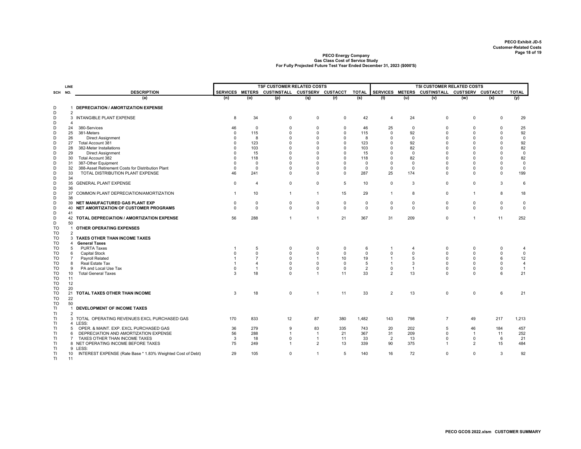|                 | <b>LINE</b>    |                                                            | <b>TSF CUSTOMER RELATED COSTS</b> |                |                                               |                             |                   |                |                 | <b>TSI CUSTOMER RELATED COSTS</b> |                               |                |                  |                |  |  |
|-----------------|----------------|------------------------------------------------------------|-----------------------------------|----------------|-----------------------------------------------|-----------------------------|-------------------|----------------|-----------------|-----------------------------------|-------------------------------|----------------|------------------|----------------|--|--|
| SCH NO.         |                | <b>DESCRIPTION</b>                                         |                                   |                | SERVICES METERS CUSTINSTALL CUSTSERV CUSTACCT |                             |                   | <b>TOTAL</b>   | SERVICES METERS |                                   | CUSTINSTALL CUSTSERV CUSTACCT |                |                  | <b>TOTAL</b>   |  |  |
|                 |                | (a)                                                        | (n)                               | (o)            | (p)                                           | (q)                         | (r)               | (s)            | (t)             | (u)                               | (v)                           | (w)            | (x)              | (y)            |  |  |
| D               |                | 1 DEPRECIATION / AMORTIZATION EXPENSE                      |                                   |                |                                               |                             |                   |                |                 |                                   |                               |                |                  |                |  |  |
| D               | 2              |                                                            |                                   |                |                                               |                             |                   |                |                 |                                   |                               |                |                  |                |  |  |
| D               | 3              | INTANGIBLE PLANT EXPENSE                                   | 8                                 | 34             | $\mathsf 0$                                   | $\mathbf 0$                 | $\Omega$          | 42             | 4               | 24                                | $\Omega$                      | $\mathbf 0$    | $\mathsf 0$      | 29             |  |  |
| D               | 4              |                                                            |                                   |                |                                               |                             |                   |                |                 |                                   |                               |                |                  |                |  |  |
| D               | 24             | 380-Services                                               | 46                                | $^{\circ}$     | 0                                             | $\Omega$                    | 0                 | 46             | 25              | $\mathbf 0$                       | 0                             | $\Omega$       | 0                | 25             |  |  |
| D               | 25             | 381-Meters                                                 | $\Omega$                          | 115            | $\Omega$                                      | $\Omega$                    | $\Omega$          | 115            | $\mathbf 0$     | 92                                | $\Omega$                      | $\Omega$       | $\mathbf 0$      | 92             |  |  |
| D               | 26             | <b>Direct Assignment</b>                                   | $\Omega$                          | 8              | $\Omega$                                      | $\Omega$                    | $\Omega$          | 8              | $\Omega$        | $\mathbf 0$                       | $\Omega$                      | $\Omega$       | $\mathbf 0$      | $\mathbf{0}$   |  |  |
| D               | 27             | <b>Total Account 381</b>                                   | $\Omega$                          | 123            | $\Omega$                                      | $\Omega$                    | $\Omega$          | 123            | U               | 92                                | $\Omega$                      | $\Omega$       | $\mathbf 0$      | 92             |  |  |
| D               | 28             | 382-Meter Installations                                    | $\Omega$                          | 103            | $\Omega$                                      | $\Omega$                    | $\Omega$          | 103            |                 | 82                                | $\Omega$                      | $\Omega$       | $\Omega$         | 82             |  |  |
| D               | 29             | <b>Direct Assignment</b>                                   | $\Omega$                          | 15             | $\Omega$                                      | $\Omega$                    | $\Omega$          | 15             | U               | $\Omega$                          | $\Omega$                      | $\Omega$       | $\Omega$         | $\mathbf 0$    |  |  |
| D               | 30             | Total Account 382                                          | $\Omega$                          | 118            | $\Omega$                                      | $\Omega$                    | $\Omega$          | 118            |                 | 82                                | $\Omega$                      | $\Omega$       | 0                | 82             |  |  |
| D               | 31             | 387-Other Equipment                                        | $\mathbf 0$                       | $\mathbf 0$    | $\Omega$                                      | $\Omega$                    | $\Omega$          | $\mathbf 0$    |                 | $\mathbf 0$                       | $\Omega$                      | $\Omega$       | $\Omega$         | $\mathbf 0$    |  |  |
| D               | 32             | 388-Asset Retirement Costs for Distribution Plant          | $\Omega$                          | $\Omega$       | $\Omega$                                      | $\Omega$                    | $\Omega$          | $\mathbf 0$    | $\Omega$        | $\mathbf 0$                       | $\Omega$                      | $\Omega$       | $\mathsf 0$      | $\mathbf 0$    |  |  |
| D               | 33             | TOTAL DISTRIBUTION PLANT EXPENSE                           | 46                                | 241            | $\Omega$                                      | $\Omega$                    | $\mathbf 0$       | 287            | 25              | 174                               | $\Omega$                      | $\Omega$       | $\mathbf 0$      | 199            |  |  |
| D               | 34             |                                                            |                                   |                |                                               |                             |                   |                |                 |                                   |                               |                |                  |                |  |  |
| D               | 35             | <b>GENERAL PLANT EXPENSE</b>                               | $\Omega$                          | $\overline{4}$ | $\Omega$                                      | $\Omega$                    | 5                 | 10             | $\mathbf 0$     | 3                                 | $\Omega$                      | $\Omega$       | 3                | 6              |  |  |
| D<br>D          | 36<br>37       | COMMON PLANT DEPRECIATION/AMORTIZATION                     | $\overline{1}$                    | 10             | $\mathbf{1}$                                  | $\overline{1}$              | 15                | 29             | $\mathbf{1}$    | 8                                 | $\mathsf 0$                   | $\mathbf{1}$   | 8                | 18             |  |  |
| D               | 38             |                                                            |                                   |                |                                               |                             |                   |                |                 |                                   |                               |                |                  |                |  |  |
| D               |                | 39 NET MANUFACTURED GAS PLANT EXP                          | $\mathbf 0$                       | $^{\circ}$     | $\mathbf 0$                                   | $\mathbf 0$                 | $\mathbf 0$       | $\mathbf 0$    | $\mathbf 0$     | $\mathbf 0$                       | $\mathbf 0$                   | $\mathbf 0$    | $\mathbf 0$      | $\mathsf 0$    |  |  |
| D               | 40             | NET AMORTIZATION OF CUSTOMER PROGRAMS                      | $\Omega$                          | $\mathbf 0$    | $\mathbf 0$                                   | $\Omega$                    | $\mathbf 0$       | $\Omega$       | $\Omega$        | $\Omega$                          | $\Omega$                      | $\Omega$       | $\mathbf 0$      | $\mathsf 0$    |  |  |
| D               | 41             |                                                            |                                   |                |                                               |                             |                   |                |                 |                                   |                               |                |                  |                |  |  |
| D               |                | 42 TOTAL DEPRECIATION / AMORTIZATION EXPENSE               | 56                                | 288            | $\overline{1}$                                | $\overline{1}$              | 21                | 367            | 31              | 209                               | $\mathbf 0$                   | $\overline{1}$ | 11               | 252            |  |  |
| D               | 50             |                                                            |                                   |                |                                               |                             |                   |                |                 |                                   |                               |                |                  |                |  |  |
| TO              | $\mathbf{1}$   | OTHER OPERATING EXPENSES                                   |                                   |                |                                               |                             |                   |                |                 |                                   |                               |                |                  |                |  |  |
| TO              | 2              |                                                            |                                   |                |                                               |                             |                   |                |                 |                                   |                               |                |                  |                |  |  |
| TO              |                | 3 TAXES OTHER THAN INCOME TAXES                            |                                   |                |                                               |                             |                   |                |                 |                                   |                               |                |                  |                |  |  |
| TO              | 4              | <b>General Taxes</b>                                       |                                   |                |                                               |                             |                   |                |                 |                                   |                               |                |                  |                |  |  |
| TO              | 5              | <b>PURTA Taxes</b>                                         | -1                                | 5              | 0                                             | $\mathbf 0$                 | 0                 | 6              |                 | $\overline{4}$                    | $\Omega$                      | $\Omega$       | 0                | $\overline{4}$ |  |  |
| TO              | 6              | <b>Capital Stock</b>                                       | $\Omega$                          | $\Omega$       | $\Omega$                                      | $\Omega$                    | $\Omega$          | $\Omega$       | $\Omega$        | $\Omega$                          | $\Omega$                      | $\Omega$       | $\mathbf 0$      | $\mathbf 0$    |  |  |
| TO              |                | Payroll Related                                            |                                   | $\overline{7}$ | $\Omega$                                      | $\overline{1}$              | 10                | 19             |                 | 5                                 | $\Omega$                      | $\Omega$       | $6\phantom{1}$   | 12             |  |  |
| TO              | 8              | Real Estate Tax                                            |                                   | $\overline{4}$ | $\Omega$                                      | $\Omega$                    | $\mathbf 0$       | 5              |                 | 3                                 | $\Omega$                      | $\Omega$       | $\mathsf 0$      | $\overline{4}$ |  |  |
| TO              | 9              | PA and Local Use Tax                                       | $\Omega$<br>3                     | $\overline{1}$ | $\Omega$                                      | $\mathbf 0$<br>$\mathbf{1}$ | $\mathbf 0$<br>11 | $\overline{2}$ | $\Omega$        | $\mathbf{1}$                      | $\mathbf 0$                   | $\Omega$       | $\mathsf 0$<br>6 | $\overline{1}$ |  |  |
| TO              | 10<br>11       | <b>Total General Taxes</b>                                 |                                   | 18             | $\Omega$                                      |                             |                   | 33             | $\overline{2}$  | 13                                | $\Omega$                      | $\Omega$       |                  | 21             |  |  |
| <b>TO</b><br>TO | 12             |                                                            |                                   |                |                                               |                             |                   |                |                 |                                   |                               |                |                  |                |  |  |
| TO              | 20             |                                                            |                                   |                |                                               |                             |                   |                |                 |                                   |                               |                |                  |                |  |  |
| TO              | 21             | TOTAL TAXES OTHER THAN INCOME                              | 3                                 | 18             | $\mathbf 0$                                   | $\overline{1}$              | 11                | 33             | 2               | 13                                | 0                             | $\mathbf 0$    | 6                | 21             |  |  |
| TO              | 22             |                                                            |                                   |                |                                               |                             |                   |                |                 |                                   |                               |                |                  |                |  |  |
| TO              | 50             |                                                            |                                   |                |                                               |                             |                   |                |                 |                                   |                               |                |                  |                |  |  |
| ΤI              | -1             | DEVELOPMENT OF INCOME TAXES                                |                                   |                |                                               |                             |                   |                |                 |                                   |                               |                |                  |                |  |  |
| TI              | 2              |                                                            |                                   |                |                                               |                             |                   |                |                 |                                   |                               |                |                  |                |  |  |
| TI              |                | 3 TOTAL OPERATING REVENUES EXCL PURCHASED GAS              | 170                               | 833            | 12                                            | 87                          | 380               | 1,482          | 143             | 798                               | $\overline{7}$                | 49             | 217              | 1,213          |  |  |
| TI              |                | 4 LESS:                                                    |                                   |                |                                               |                             |                   |                |                 |                                   |                               |                |                  |                |  |  |
| TI              | 5              | OPER. & MAINT. EXP. EXCL PURCHASED GAS                     | 36                                | 279            | 9                                             | 83                          | 335               | 743            | 20              | 202                               | 5                             | 46             | 184              | 457            |  |  |
| TI              | 6              | DEPRECIATION AND AMORTIZATION EXPENSE                      | 56                                | 288            | $\mathbf{1}$                                  | $\overline{1}$              | 21                | 367            | 31              | 209                               | $\mathbf 0$                   | $\overline{1}$ | 11               | 252            |  |  |
| TI              | $\overline{7}$ | TAXES OTHER THAN INCOME TAXES                              | 3                                 | 18             | $\mathbf 0$                                   | $\overline{1}$              | 11                | 33             | $\overline{2}$  | 13                                | $\mathbf 0$                   | 0              | 6                | 21             |  |  |
| TI              |                | 8 NET OPERATING INCOME BEFORE TAXES                        | 75                                | 249            | $\mathbf{1}$                                  | $\overline{2}$              | 13                | 339            | 90              | 375                               | $\mathbf{1}$                  | 2              | 15               | 484            |  |  |
| T1              |                | 9 LESS:                                                    |                                   |                |                                               |                             |                   |                |                 |                                   |                               |                |                  |                |  |  |
| TI              | 10             | INTEREST EXPENSE (Rate Base * 1.83% Weighted Cost of Debt) | 29                                | 105            | $\mathbf 0$                                   | $\overline{1}$              | 5                 | 140            | 16              | 72                                | $\Omega$                      | 0              | 3                | 92             |  |  |
| TI.             | 11             |                                                            |                                   |                |                                               |                             |                   |                |                 |                                   |                               |                |                  |                |  |  |